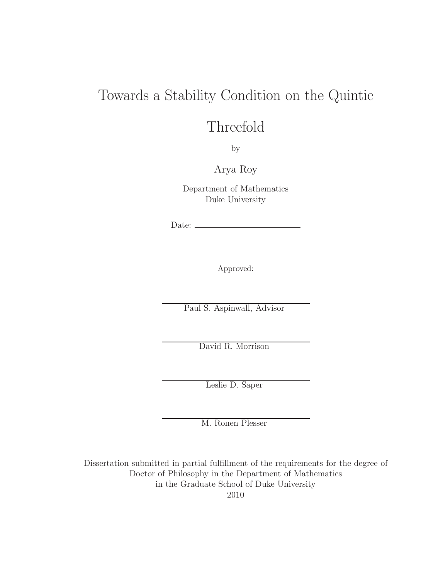## Towards a Stability Condition on the Quintic

## Threefold

by

Arya Roy

Department of Mathematics Duke University

Date:

Approved:

Paul S. Aspinwall, Advisor

David R. Morrison

Leslie D. Saper

M. Ronen Plesser

Dissertation submitted in partial fulfillment of the requirements for the degree of Doctor of Philosophy in the Department of Mathematics in the Graduate School of Duke University 2010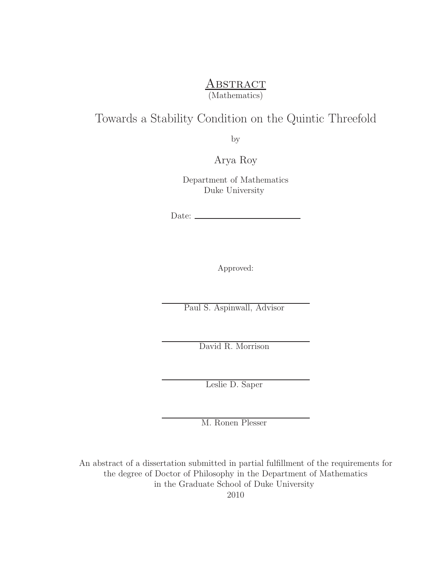### **ABSTRACT** (Mathematics)

### Towards a Stability Condition on the Quintic Threefold

by

Arya Roy

Department of Mathematics Duke University

Date:  $\equiv$ 

Approved:

Paul S. Aspinwall, Advisor

David R. Morrison

Leslie D. Saper

M. Ronen Plesser

An abstract of a dissertation submitted in partial fulfillment of the requirements for the degree of Doctor of Philosophy in the Department of Mathematics in the Graduate School of Duke University

2010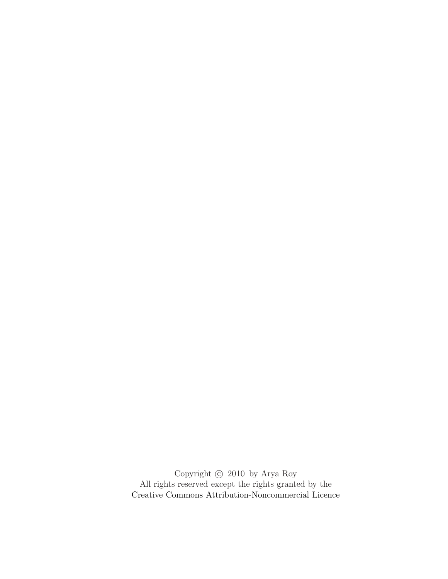Copyright  $\copyright$  2010 by Arya Roy All rights reserved except the rights granted by the [Creative Commons Attribution-Noncommercial Licence](http://creativecommons.org/licenses/by-nc/3.0/us/)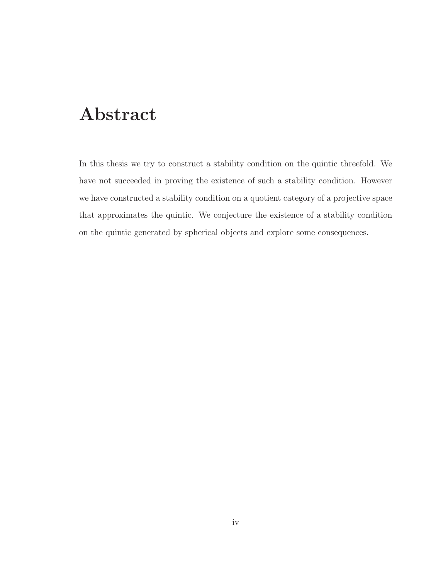## Abstract

<span id="page-3-0"></span>In this thesis we try to construct a stability condition on the quintic threefold. We have not succeeded in proving the existence of such a stability condition. However we have constructed a stability condition on a quotient category of a projective space that approximates the quintic. We conjecture the existence of a stability condition on the quintic generated by spherical objects and explore some consequences.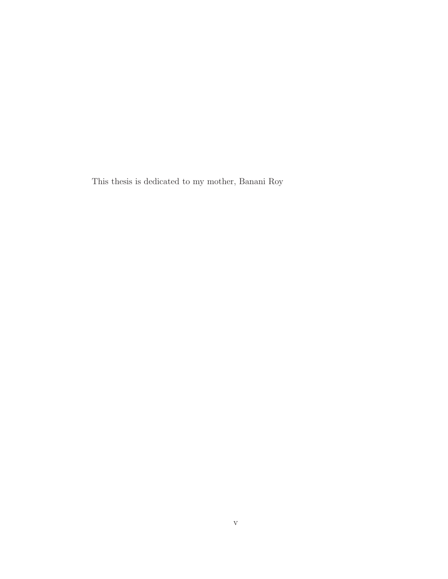This thesis is dedicated to my mother, Banani Roy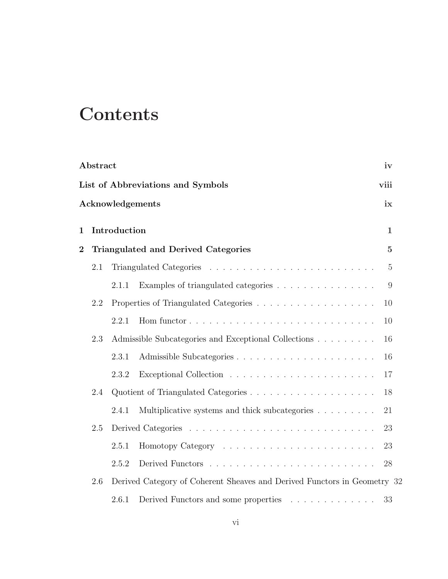# **Contents**

| Abstract<br>iv                                                                  |     |              |                                                      |                |  |  |  |  |
|---------------------------------------------------------------------------------|-----|--------------|------------------------------------------------------|----------------|--|--|--|--|
| List of Abbreviations and Symbols<br>viii                                       |     |              |                                                      |                |  |  |  |  |
| Acknowledgements<br>ix                                                          |     |              |                                                      |                |  |  |  |  |
| 1                                                                               |     | Introduction |                                                      | $\mathbf 1$    |  |  |  |  |
| $\overline{2}$                                                                  |     |              | Triangulated and Derived Categories                  | $\overline{5}$ |  |  |  |  |
|                                                                                 | 2.1 |              |                                                      | $\overline{5}$ |  |  |  |  |
|                                                                                 |     | 2.1.1        | Examples of triangulated categories                  | 9              |  |  |  |  |
|                                                                                 | 2.2 |              |                                                      | 10             |  |  |  |  |
|                                                                                 |     | 2.2.1        |                                                      | 10             |  |  |  |  |
|                                                                                 | 2.3 |              | Admissible Subcategories and Exceptional Collections | 16             |  |  |  |  |
|                                                                                 |     | 2.3.1        |                                                      | 16             |  |  |  |  |
|                                                                                 |     | 2.3.2        |                                                      | 17             |  |  |  |  |
|                                                                                 | 2.4 |              |                                                      | 18             |  |  |  |  |
|                                                                                 |     | 2.4.1        | Multiplicative systems and thick subcategories       | 21             |  |  |  |  |
|                                                                                 | 2.5 |              |                                                      | 23             |  |  |  |  |
|                                                                                 |     | 2.5.1        |                                                      | 23             |  |  |  |  |
|                                                                                 |     | 2.5.2        |                                                      | 28             |  |  |  |  |
| Derived Category of Coherent Sheaves and Derived Functors in Geometry 32<br>2.6 |     |              |                                                      |                |  |  |  |  |
|                                                                                 |     | 2.6.1        | Derived Functors and some properties                 | 33             |  |  |  |  |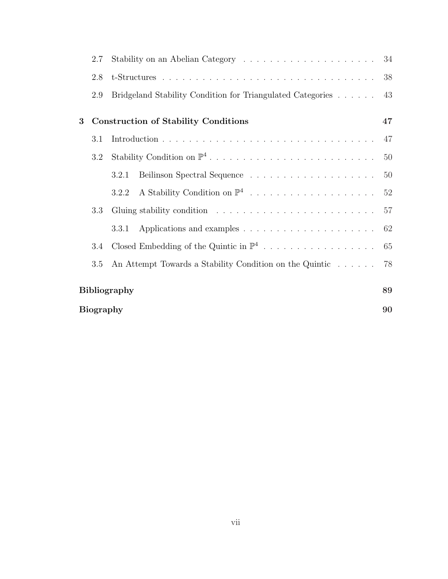| 2.7              |                                                            | 34 |  |
|------------------|------------------------------------------------------------|----|--|
| 2.8              |                                                            | 38 |  |
| 2.9              | Bridgeland Stability Condition for Triangulated Categories | 43 |  |
| 3                | <b>Construction of Stability Conditions</b>                | 47 |  |
| 3.1              |                                                            | 47 |  |
| 3.2              |                                                            | 50 |  |
|                  | 3.2.1                                                      | 50 |  |
|                  | 3.2.2                                                      | 52 |  |
| 3.3              |                                                            | 57 |  |
|                  | 3.3.1                                                      | 62 |  |
| 3.4              | Closed Embedding of the Quintic in $\mathbb{P}^4$          | 65 |  |
| 3.5              | An Attempt Towards a Stability Condition on the Quintic    | 78 |  |
|                  |                                                            | 89 |  |
| Bibliography     |                                                            |    |  |
| <b>Biography</b> |                                                            |    |  |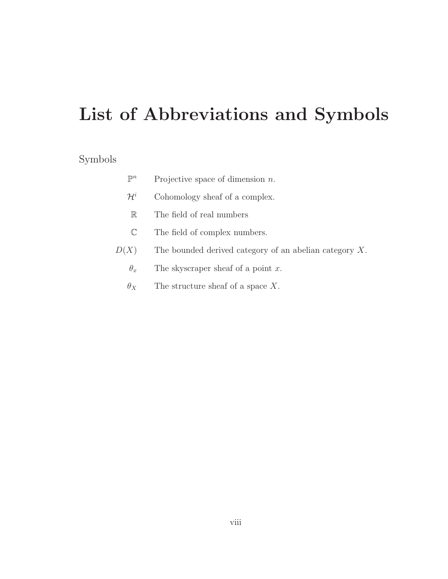# List of Abbreviations and Symbols

### <span id="page-7-0"></span>Symbols

| $\mathbb{P}^n$  | Projective space of dimension $n$ .                       |
|-----------------|-----------------------------------------------------------|
| $\mathcal{H}^i$ | Cohomology sheaf of a complex.                            |
| $\mathbb R$     | The field of real numbers                                 |
| $\mathbb C$     | The field of complex numbers.                             |
| D(X)            | The bounded derived category of an abelian category $X$ . |
| $\theta_x$      | The skyscraper sheaf of a point $x$ .                     |
| $\theta_X$      | The structure sheaf of a space $X$ .                      |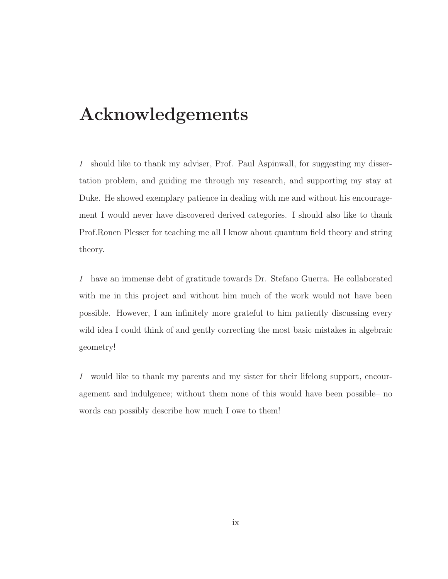## Acknowledgements

<span id="page-8-0"></span>I should like to thank my adviser, Prof. Paul Aspinwall, for suggesting my dissertation problem, and guiding me through my research, and supporting my stay at Duke. He showed exemplary patience in dealing with me and without his encouragement I would never have discovered derived categories. I should also like to thank Prof.Ronen Plesser for teaching me all I know about quantum field theory and string theory.

I have an immense debt of gratitude towards Dr. Stefano Guerra. He collaborated with me in this project and without him much of the work would not have been possible. However, I am infinitely more grateful to him patiently discussing every wild idea I could think of and gently correcting the most basic mistakes in algebraic geometry!

I would like to thank my parents and my sister for their lifelong support, encouragement and indulgence; without them none of this would have been possible– no words can possibly describe how much I owe to them!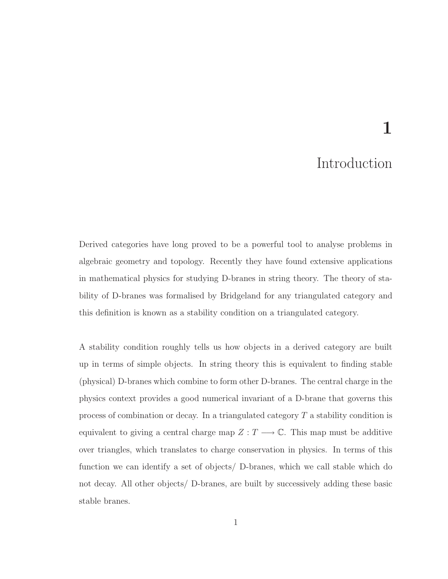# 1

### Introduction

<span id="page-9-0"></span>Derived categories have long proved to be a powerful tool to analyse problems in algebraic geometry and topology. Recently they have found extensive applications in mathematical physics for studying D-branes in string theory. The theory of stability of D-branes was formalised by Bridgeland for any triangulated category and this definition is known as a stability condition on a triangulated category.

A stability condition roughly tells us how objects in a derived category are built up in terms of simple objects. In string theory this is equivalent to finding stable (physical) D-branes which combine to form other D-branes. The central charge in the physics context provides a good numerical invariant of a D-brane that governs this process of combination or decay. In a triangulated category  $T$  a stability condition is equivalent to giving a central charge map  $Z : T \longrightarrow \mathbb{C}$ . This map must be additive over triangles, which translates to charge conservation in physics. In terms of this function we can identify a set of objects/ D-branes, which we call stable which do not decay. All other objects/ D-branes, are built by successively adding these basic stable branes.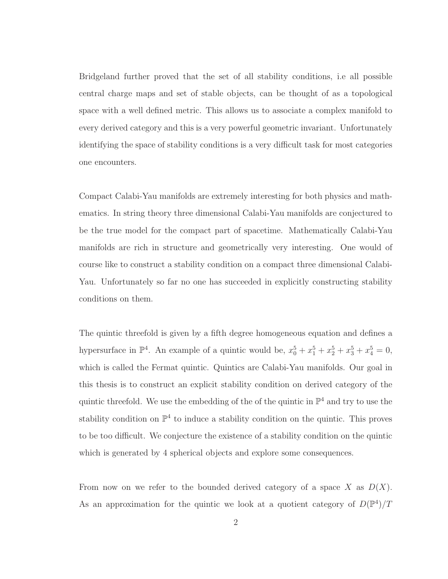Bridgeland further proved that the set of all stability conditions, i.e all possible central charge maps and set of stable objects, can be thought of as a topological space with a well defined metric. This allows us to associate a complex manifold to every derived category and this is a very powerful geometric invariant. Unfortunately identifying the space of stability conditions is a very difficult task for most categories one encounters.

Compact Calabi-Yau manifolds are extremely interesting for both physics and mathematics. In string theory three dimensional Calabi-Yau manifolds are conjectured to be the true model for the compact part of spacetime. Mathematically Calabi-Yau manifolds are rich in structure and geometrically very interesting. One would of course like to construct a stability condition on a compact three dimensional Calabi-Yau. Unfortunately so far no one has succeeded in explicitly constructing stability conditions on them.

The quintic threefold is given by a fifth degree homogeneous equation and defines a hypersurface in  $\mathbb{P}^4$ . An example of a quintic would be,  $x_0^5 + x_1^5 + x_2^5 + x_3^5 + x_4^5 = 0$ , which is called the Fermat quintic. Quintics are Calabi-Yau manifolds. Our goal in this thesis is to construct an explicit stability condition on derived category of the quintic threefold. We use the embedding of the of the quintic in  $\mathbb{P}^4$  and try to use the stability condition on  $\mathbb{P}^4$  to induce a stability condition on the quintic. This proves to be too difficult. We conjecture the existence of a stability condition on the quintic which is generated by 4 spherical objects and explore some consequences.

From now on we refer to the bounded derived category of a space X as  $D(X)$ . As an approximation for the quintic we look at a quotient category of  $D(\mathbb{P}^4)/T$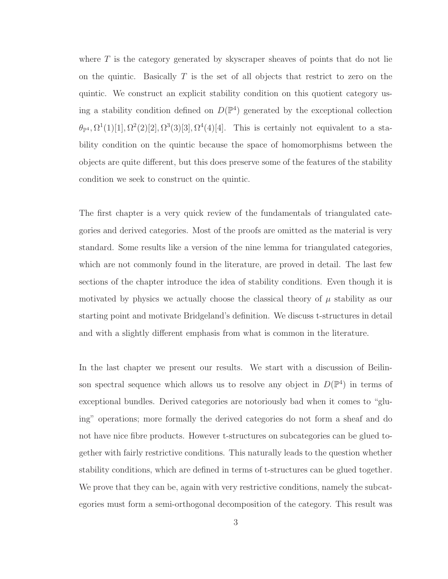where  $T$  is the category generated by skyscraper sheaves of points that do not lie on the quintic. Basically  $T$  is the set of all objects that restrict to zero on the quintic. We construct an explicit stability condition on this quotient category using a stability condition defined on  $D(\mathbb{P}^4)$  generated by the exceptional collection  $\theta_{\mathbb{P}^4}$ ,  $\Omega^1(1)[1], \Omega^2(2)[2], \Omega^3(3)[3], \Omega^4(4)[4]$ . This is certainly not equivalent to a stability condition on the quintic because the space of homomorphisms between the objects are quite different, but this does preserve some of the features of the stability condition we seek to construct on the quintic.

The first chapter is a very quick review of the fundamentals of triangulated categories and derived categories. Most of the proofs are omitted as the material is very standard. Some results like a version of the nine lemma for triangulated categories, which are not commonly found in the literature, are proved in detail. The last few sections of the chapter introduce the idea of stability conditions. Even though it is motivated by physics we actually choose the classical theory of  $\mu$  stability as our starting point and motivate Bridgeland's definition. We discuss t-structures in detail and with a slightly different emphasis from what is common in the literature.

In the last chapter we present our results. We start with a discussion of Beilinson spectral sequence which allows us to resolve any object in  $D(\mathbb{P}^4)$  in terms of exceptional bundles. Derived categories are notoriously bad when it comes to "gluing" operations; more formally the derived categories do not form a sheaf and do not have nice fibre products. However t-structures on subcategories can be glued together with fairly restrictive conditions. This naturally leads to the question whether stability conditions, which are defined in terms of t-structures can be glued together. We prove that they can be, again with very restrictive conditions, namely the subcategories must form a semi-orthogonal decomposition of the category. This result was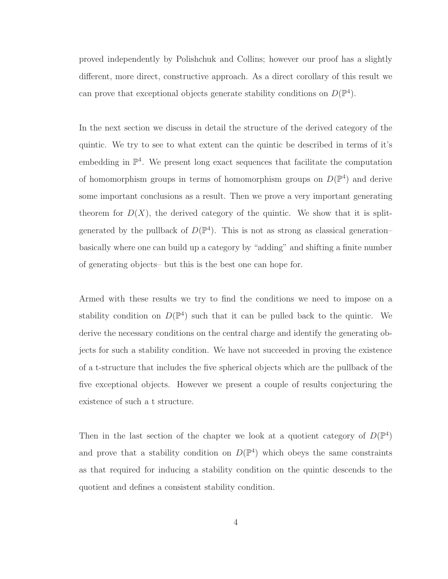proved independently by Polishchuk and Collins; however our proof has a slightly different, more direct, constructive approach. As a direct corollary of this result we can prove that exceptional objects generate stability conditions on  $D(\mathbb{P}^4)$ .

In the next section we discuss in detail the structure of the derived category of the quintic. We try to see to what extent can the quintic be described in terms of it's embedding in  $\mathbb{P}^4$ . We present long exact sequences that facilitate the computation of homomorphism groups in terms of homomorphism groups on  $D(\mathbb{P}^4)$  and derive some important conclusions as a result. Then we prove a very important generating theorem for  $D(X)$ , the derived category of the quintic. We show that it is splitgenerated by the pullback of  $D(\mathbb{P}^4)$ . This is not as strong as classical generationbasically where one can build up a category by "adding" and shifting a finite number of generating objects– but this is the best one can hope for.

Armed with these results we try to find the conditions we need to impose on a stability condition on  $D(\mathbb{P}^4)$  such that it can be pulled back to the quintic. We derive the necessary conditions on the central charge and identify the generating objects for such a stability condition. We have not succeeded in proving the existence of a t-structure that includes the five spherical objects which are the pullback of the five exceptional objects. However we present a couple of results conjecturing the existence of such a t structure.

Then in the last section of the chapter we look at a quotient category of  $D(\mathbb{P}^4)$ and prove that a stability condition on  $D(\mathbb{P}^4)$  which obeys the same constraints as that required for inducing a stability condition on the quintic descends to the quotient and defines a consistent stability condition.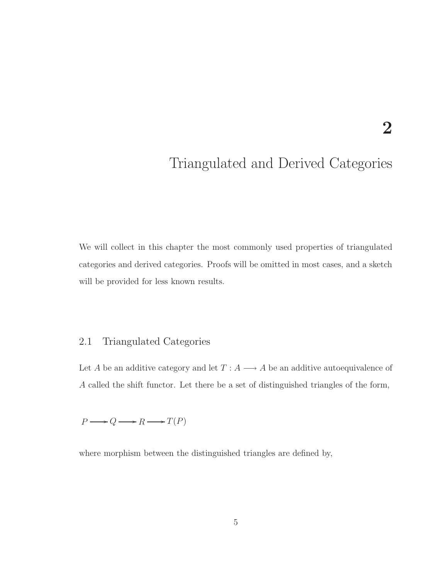## <span id="page-13-0"></span>Triangulated and Derived Categories

We will collect in this chapter the most commonly used properties of triangulated categories and derived categories. Proofs will be omitted in most cases, and a sketch will be provided for less known results.

#### <span id="page-13-1"></span>2.1 Triangulated Categories

Let  $A$  be an additive category and let  $T: A \longrightarrow A$  be an additive autoequivalence of A called the shift functor. Let there be a set of distinguished triangles of the form,

 $P \longrightarrow Q \longrightarrow R \longrightarrow T(P)$ 

where morphism between the distinguished triangles are defined by,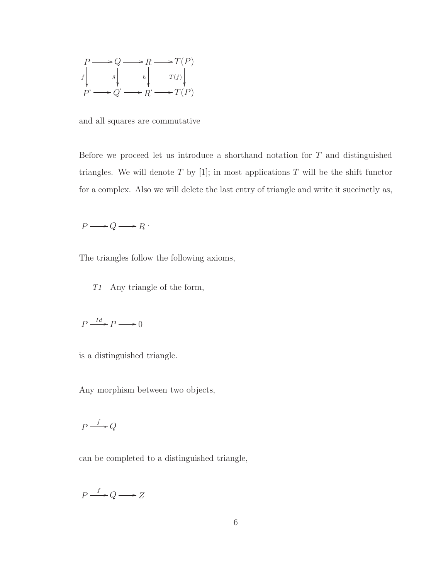

and all squares are commutative

Before we proceed let us introduce a shorthand notation for  $T$  and distinguished triangles. We will denote  $T$  by [1]; in most applications  $T$  will be the shift functor for a complex. Also we will delete the last entry of triangle and write it succinctly as,

$$
P \longrightarrow Q \longrightarrow R
$$

The triangles follow the following axioms,

T1 Any triangle of the form,

$$
P \xrightarrow{Id} P \longrightarrow 0
$$

is a distinguished triangle.

Any morphism between two objects,

$$
P \xrightarrow{f} Q
$$

can be completed to a distinguished triangle,

 $P \xrightarrow{f} Q \longrightarrow Z$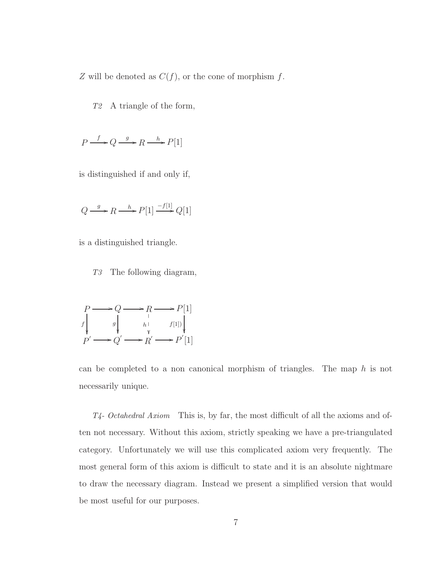$Z$  will be denoted as  $C(f)$ , or the cone of morphism  $f$ .

T2 A triangle of the form,

$$
P \xrightarrow{f} Q \xrightarrow{g} R \xrightarrow{h} P[1]
$$

is distinguished if and only if,

$$
Q \xrightarrow{g} R \xrightarrow{h} P[1] \xrightarrow{-f[1]} Q[1]
$$

is a distinguished triangle.

T3 The following diagram,

$$
P \longrightarrow Q \longrightarrow R \longrightarrow P[1]
$$
  

$$
f \downarrow g \downarrow h \downarrow f[1]\downarrow
$$
  

$$
P' \longrightarrow Q' \longrightarrow R' \longrightarrow P'[1]
$$

can be completed to a non canonical morphism of triangles. The map  $h$  is not necessarily unique.

T4- Octahedral Axiom This is, by far, the most difficult of all the axioms and often not necessary. Without this axiom, strictly speaking we have a pre-triangulated category. Unfortunately we will use this complicated axiom very frequently. The most general form of this axiom is difficult to state and it is an absolute nightmare to draw the necessary diagram. Instead we present a simplified version that would be most useful for our purposes.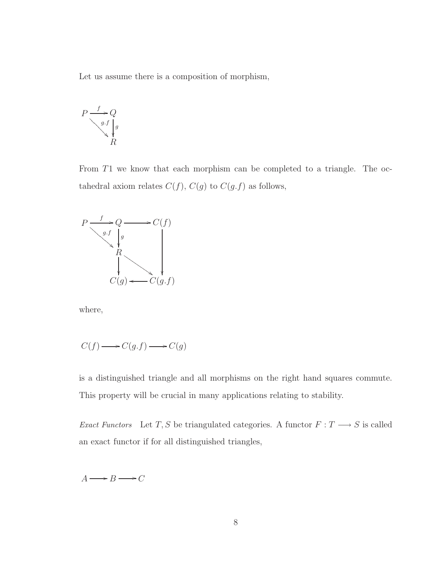Let us assume there is a composition of morphism,

$$
P \xrightarrow{f} Q
$$
  
\n
$$
\downarrow g.f \downarrow g
$$
  
\n
$$
\downarrow R
$$

From T1 we know that each morphism can be completed to a triangle. The octahedral axiom relates  $C(f)$ ,  $C(g)$  to  $C(g.f)$  as follows,



where,

$$
C(f) \longrightarrow C(g.f) \longrightarrow C(g)
$$

is a distinguished triangle and all morphisms on the right hand squares commute. This property will be crucial in many applications relating to stability.

Exact Functors Let T, S be triangulated categories. A functor  $F: T \longrightarrow S$  is called an exact functor if for all distinguished triangles,

 $A \longrightarrow B \longrightarrow C$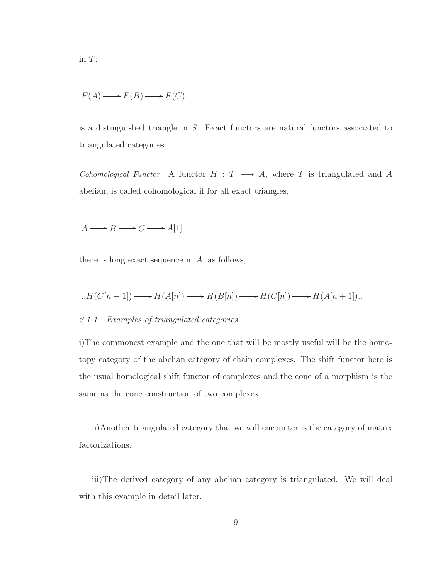in 
$$
T
$$
,

$$
F(A) \longrightarrow F(B) \longrightarrow F(C)
$$

is a distinguished triangle in S. Exact functors are natural functors associated to triangulated categories.

Cohomological Functor A functor  $H : T \longrightarrow A$ , where T is triangulated and A abelian, is called cohomological if for all exact triangles,

 $A \longrightarrow B \longrightarrow C \longrightarrow A[1]$ 

there is long exact sequence in  $A$ , as follows,

<span id="page-17-0"></span>
$$
H(C[n-1]) \longrightarrow H(A[n]) \longrightarrow H(B[n]) \longrightarrow H(C[n]) \longrightarrow H(A[n+1]).
$$

#### 2.1.1 Examples of triangulated categories

i)The commonest example and the one that will be mostly useful will be the homotopy category of the abelian category of chain complexes. The shift functor here is the usual homological shift functor of complexes and the cone of a morphism is the same as the cone construction of two complexes.

ii)Another triangulated category that we will encounter is the category of matrix factorizations.

iii)The derived category of any abelian category is triangulated. We will deal with this example in detail later.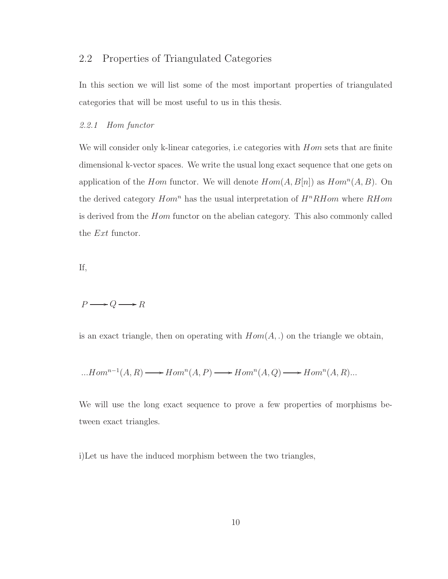#### <span id="page-18-0"></span>2.2 Properties of Triangulated Categories

In this section we will list some of the most important properties of triangulated categories that will be most useful to us in this thesis.

#### <span id="page-18-1"></span>2.2.1 Hom functor

We will consider only k-linear categories, i.e categories with  $Hom$  sets that are finite dimensional k-vector spaces. We write the usual long exact sequence that one gets on application of the *Hom* functor. We will denote  $Hom(A, B[n])$  as  $Hom<sup>n</sup>(A, B)$ . On the derived category  $Hom<sup>n</sup>$  has the usual interpretation of  $H<sup>n</sup>RH$ om where  $RH$ om is derived from the Hom functor on the abelian category. This also commonly called the Ext functor.

If,

$$
P\mathchoice{\longrightarrow}{\rightarrow}{\rightarrow}{\rightarrow} Q\mathchoice{\longrightarrow}{\rightarrow}{\rightarrow}{\rightarrow} R
$$

is an exact triangle, then on operating with  $Hom(A,.)$  on the triangle we obtain,

$$
\dots Hom^{n-1}(A,R) \longrightarrow Hom^{n}(A,P) \longrightarrow Hom^{n}(A,Q) \longrightarrow Hom^{n}(A,R)\dots
$$

We will use the long exact sequence to prove a few properties of morphisms between exact triangles.

i)Let us have the induced morphism between the two triangles,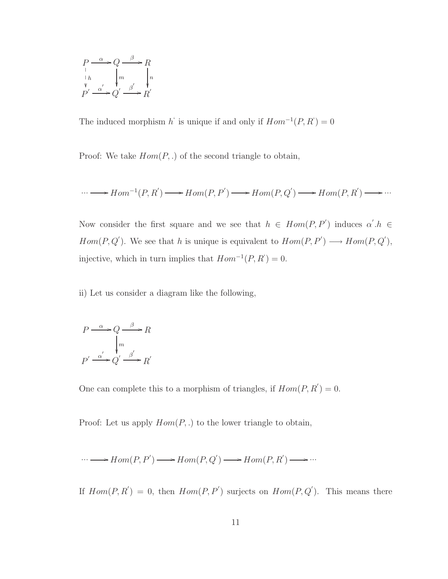$$
\begin{array}{ccc}\nP & \xrightarrow{\alpha} Q & \xrightarrow{\beta} R \\
\downarrow h & \downarrow m & \downarrow n \\
P' & \xrightarrow{\alpha'} Q' & \xrightarrow{\beta'} R'\n\end{array}
$$

The induced morphism h<sup>'</sup> is unique if and only if  $Hom^{-1}(P, R') = 0$ 

Proof: We take  $Hom(P,.)$  of the second triangle to obtain,

$$
\cdots \longrightarrow Hom^{-1}(P,R') \longrightarrow Hom(P,P') \longrightarrow Hom(P,Q') \longrightarrow Hom(P,R') \longrightarrow \cdots
$$

Now consider the first square and we see that  $h \in Hom(P, P')$  induces  $\alpha'.h \in$  $Hom(P, Q')$ . We see that h is unique is equivalent to  $Hom(P, P') \longrightarrow Hom(P, Q'),$ injective, which in turn implies that  $Hom^{-1}(P, R^{\prime}) = 0$ .

ii) Let us consider a diagram like the following,

$$
P \xrightarrow{\alpha} Q \xrightarrow{\beta} R
$$

$$
\downarrow m
$$

$$
P' \xrightarrow{\alpha'} Q' \xrightarrow{\beta'} R'
$$

One can complete this to a morphism of triangles, if  $Hom(P, R') = 0$ .

Proof: Let us apply  $Hom(P,.)$  to the lower triangle to obtain,

$$
\cdots \longrightarrow Hom(P,P^{'})\longrightarrow Hom(P,Q^{'})\longrightarrow Hom(P,R^{'})\longrightarrow \cdots
$$

If  $Hom(P, R') = 0$ , then  $Hom(P, P')$  surjects on  $Hom(P, Q')$ . This means there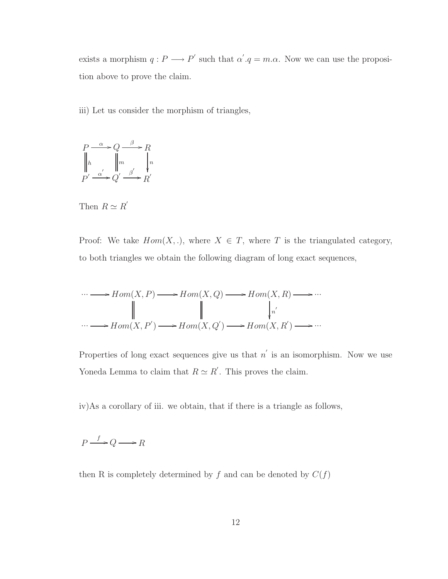exists a morphism  $q: P \longrightarrow P'$  such that  $\alpha'.q = m.\alpha$ . Now we can use the proposition above to prove the claim.

iii) Let us consider the morphism of triangles,



Then  $R \simeq R'$ 

Proof: We take  $Hom(X,.)$ , where  $X \in T$ , where T is the triangulated category, to both triangles we obtain the following diagram of long exact sequences,

$$
\cdots \longrightarrow Hom(X, P) \longrightarrow Hom(X, Q) \longrightarrow Hom(X, R) \longrightarrow \cdots
$$
  
\n
$$
\parallel \qquad \qquad \parallel \qquad \qquad \downarrow_{n'}
$$
  
\n
$$
\cdots \longrightarrow Hom(X, P') \longrightarrow Hom(X, Q') \longrightarrow Hom(X, R') \longrightarrow \cdots
$$

Properties of long exact sequences give us that  $n'$  is an isomorphism. Now we use Yoneda Lemma to claim that  $R \simeq R'$ . This proves the claim.

iv)As a corollary of iii. we obtain, that if there is a triangle as follows,

 $P \xrightarrow{f} Q \longrightarrow R$ 

then R is completely determined by  $f$  and can be denoted by  $C(f)$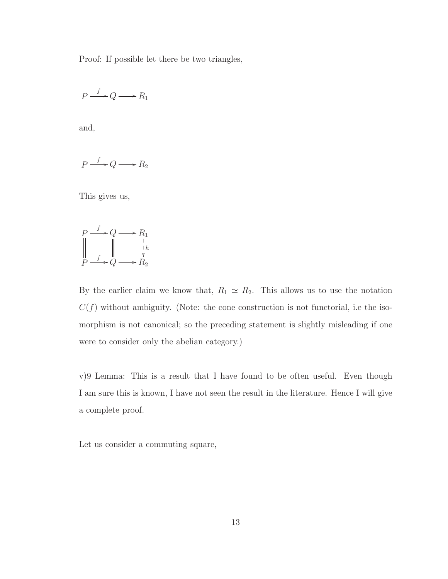Proof: If possible let there be two triangles,

$$
P \xrightarrow{f} Q \longrightarrow R_1
$$

and,

$$
P \xrightarrow{f} Q \longrightarrow R_2
$$

This gives us,

$$
P \xrightarrow{f} Q \longrightarrow R_1
$$
  
\n
$$
P \xrightarrow{f} Q \longrightarrow R_2
$$
  
\n
$$
P \longrightarrow Q \longrightarrow R_2
$$

By the earlier claim we know that,  $R_1 \simeq R_2$ . This allows us to use the notation  $C(f)$  without ambiguity. (Note: the cone construction is not functorial, i.e the isomorphism is not canonical; so the preceding statement is slightly misleading if one were to consider only the abelian category.)

v)9 Lemma: This is a result that I have found to be often useful. Even though I am sure this is known, I have not seen the result in the literature. Hence I will give a complete proof.

Let us consider a commuting square,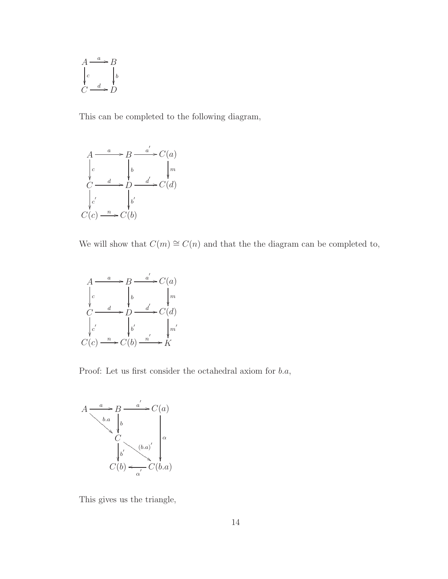$$
A \xrightarrow{a} B
$$
  
\n
$$
\downarrow_c
$$
  
\n
$$
\downarrow_b
$$
  
\n
$$
C \xrightarrow{d} D
$$

This can be completed to the following diagram,



We will show that  $C(m) \cong C(n)$  and that the the diagram can be completed to,



Proof: Let us first consider the octahedral axiom for b.a,



This gives us the triangle,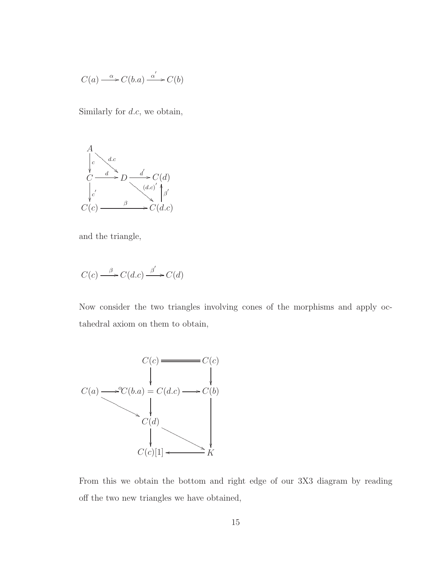$$
C(a) \xrightarrow{\alpha} C(b.a) \xrightarrow{\alpha'} C(b)
$$

Similarly for  $d.c$ , we obtain,



and the triangle,

$$
C(c) \xrightarrow{\beta} C(d.c) \xrightarrow{\beta'} C(d)
$$

Now consider the two triangles involving cones of the morphisms and apply octahedral axiom on them to obtain,



From this we obtain the bottom and right edge of our 3X3 diagram by reading off the two new triangles we have obtained,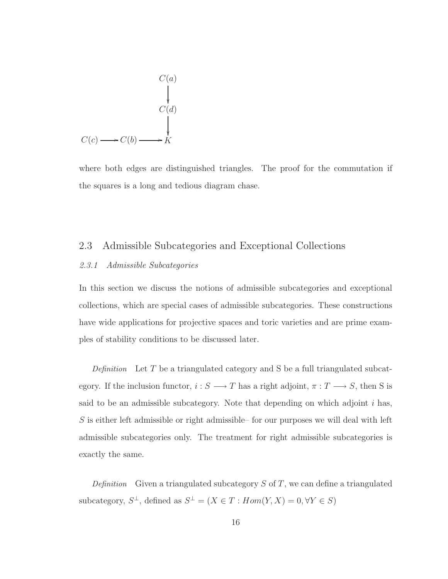$$
C(a)
$$
\n
$$
C(d)
$$
\n
$$
C(c) \longrightarrow C(b) \longrightarrow K
$$

where both edges are distinguished triangles. The proof for the commutation if the squares is a long and tedious diagram chase.

#### <span id="page-24-1"></span><span id="page-24-0"></span>2.3 Admissible Subcategories and Exceptional Collections

#### 2.3.1 Admissible Subcategories

In this section we discuss the notions of admissible subcategories and exceptional collections, which are special cases of admissible subcategories. These constructions have wide applications for projective spaces and toric varieties and are prime examples of stability conditions to be discussed later.

Definition Let  $T$  be a triangulated category and  $S$  be a full triangulated subcategory. If the inclusion functor,  $i : S \longrightarrow T$  has a right adjoint,  $\pi : T \longrightarrow S$ , then S is said to be an admissible subcategory. Note that depending on which adjoint  $i$  has,  $S$  is either left admissible or right admissible– for our purposes we will deal with left admissible subcategories only. The treatment for right admissible subcategories is exactly the same.

Definition Given a triangulated subcategory  $S$  of  $T$ , we can define a triangulated subcategory,  $S^{\perp}$ , defined as  $S^{\perp} = (X \in T : Hom(Y, X) = 0, \forall Y \in S)$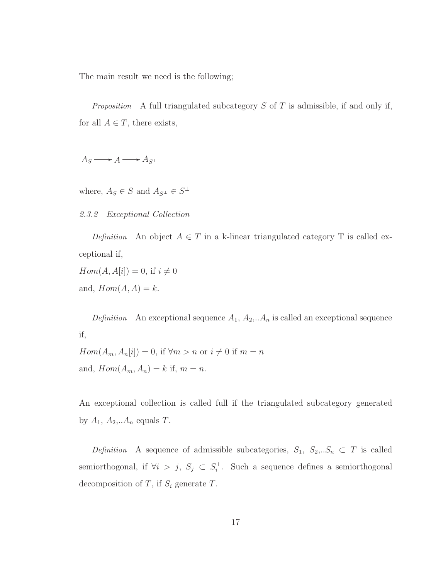The main result we need is the following;

*Proposition* A full triangulated subcategory S of T is admissible, if and only if, for all  $A \in T$ , there exists,

 $A_S \longrightarrow A \longrightarrow A_{S^{\perp}}$ 

<span id="page-25-0"></span>where,  $A_S \in S$  and  $A_{S^{\perp}} \in S^{\perp}$ 

2.3.2 Exceptional Collection

Definition An object  $A \in T$  in a k-linear triangulated category T is called exceptional if,

 $Hom(A, A[i]) = 0$ , if  $i \neq 0$ and,  $Hom(A, A) = k$ .

Definition An exceptional sequence  $A_1, A_2, \ldots, A_n$  is called an exceptional sequence if,

 $Hom(A_m, A_n[i]) = 0,$  if  $\forall m > n$  or  $i \neq 0$  if  $m = n$ and,  $Hom(A_m, A_n) = k$  if,  $m = n$ .

An exceptional collection is called full if the triangulated subcategory generated by  $A_1$ ,  $A_2$ ,... $A_n$  equals  $T$ .

Definition A sequence of admissible subcategories,  $S_1, S_2, S_n \subset T$  is called semiorthogonal, if  $\forall i > j$ ,  $S_j \subset S_i^{\perp}$ . Such a sequence defines a semiorthogonal decomposition of  $T$ , if  $S_i$  generate  $T$ .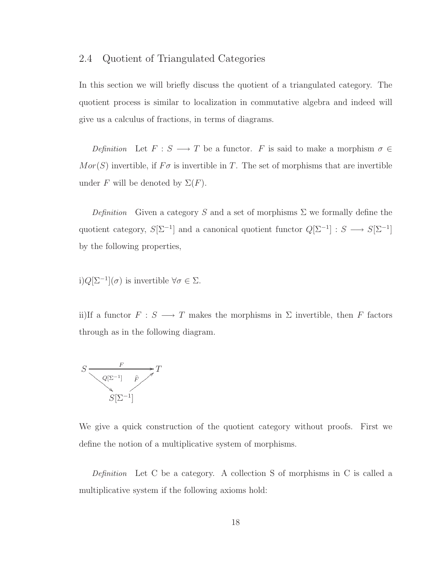#### <span id="page-26-0"></span>2.4 Quotient of Triangulated Categories

In this section we will briefly discuss the quotient of a triangulated category. The quotient process is similar to localization in commutative algebra and indeed will give us a calculus of fractions, in terms of diagrams.

Definition Let  $F : S \longrightarrow T$  be a functor. F is said to make a morphism  $\sigma \in$  $Mor(S)$  invertible, if  $F\sigma$  is invertible in T. The set of morphisms that are invertible under F will be denoted by  $\Sigma(F)$ .

Definition Given a category S and a set of morphisms  $\Sigma$  we formally define the quotient category,  $S[\Sigma^{-1}]$  and a canonical quotient functor  $Q[\Sigma^{-1}] : S \longrightarrow S[\Sigma^{-1}]$ by the following properties,

i)
$$
Q[\Sigma^{-1}](\sigma)
$$
 is invertible  $\forall \sigma \in \Sigma$ .

ii)If a functor  $F : S \longrightarrow T$  makes the morphisms in  $\Sigma$  invertible, then  $F$  factors through as in the following diagram.



We give a quick construction of the quotient category without proofs. First we define the notion of a multiplicative system of morphisms.

Definition Let C be a category. A collection S of morphisms in C is called a multiplicative system if the following axioms hold: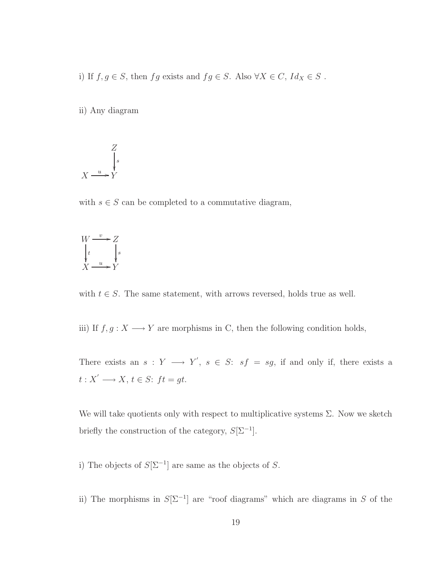i) If  $f, g \in S$ , then  $fg$  exists and  $fg \in S$ . Also  $\forall X \in C$ ,  $Id_X \in S$ .

ii) Any diagram

$$
X \xrightarrow{u} Y
$$
  

$$
X \xrightarrow{u} Y
$$

with  $s \in S$  can be completed to a commutative diagram,



with  $t \in S$ . The same statement, with arrows reversed, holds true as well.

iii) If  $f, g: X \longrightarrow Y$  are morphisms in C, then the following condition holds,

There exists an  $s: Y \longrightarrow Y'$ ,  $s \in S: sf = sg$ , if and only if, there exists a  $t: X' \longrightarrow X, t \in S: ft = gt.$ 

We will take quotients only with respect to multiplicative systems  $\Sigma$ . Now we sketch briefly the construction of the category,  $S[\Sigma^{-1}]$ .

i) The objects of  $S[\Sigma^{-1}]$  are same as the objects of S.

ii) The morphisms in  $S[\Sigma^{-1}]$  are "roof diagrams" which are diagrams in S of the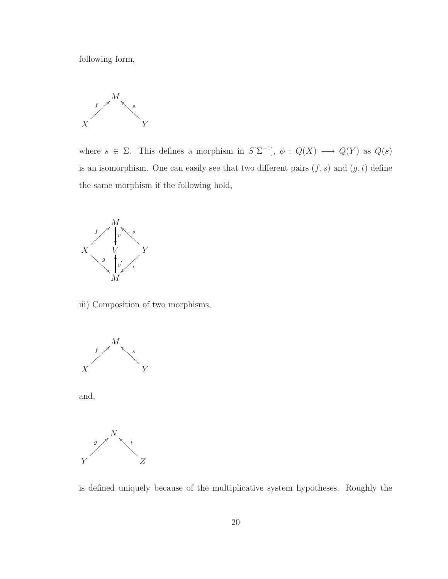following form,



where  $s \in \Sigma$ . This defines a morphism in  $S[\Sigma^{-1}]$ ,  $\phi: Q(X) \longrightarrow Q(Y)$  as  $Q(s)$ is an isomorphism. One can easily see that two different pairs  $(f, s)$  and  $(g, t)$  define the same morphism if the following hold,



iii) Composition of two morphisms,







is defined uniquely because of the multiplicative system hypotheses. Roughly the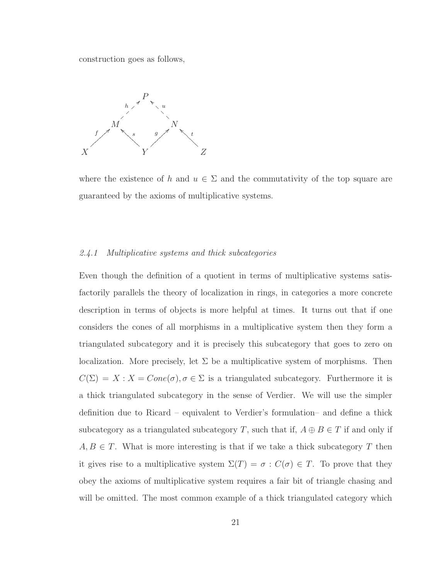construction goes as follows,



where the existence of h and  $u \in \Sigma$  and the commutativity of the top square are guaranteed by the axioms of multiplicative systems.

#### <span id="page-29-0"></span>2.4.1 Multiplicative systems and thick subcategories

Even though the definition of a quotient in terms of multiplicative systems satisfactorily parallels the theory of localization in rings, in categories a more concrete description in terms of objects is more helpful at times. It turns out that if one considers the cones of all morphisms in a multiplicative system then they form a triangulated subcategory and it is precisely this subcategory that goes to zero on localization. More precisely, let  $\Sigma$  be a multiplicative system of morphisms. Then  $C(\Sigma) = X : X = Cone(\sigma), \sigma \in \Sigma$  is a triangulated subcategory. Furthermore it is a thick triangulated subcategory in the sense of Verdier. We will use the simpler definition due to Ricard – equivalent to Verdier's formulation– and define a thick subcategory as a triangulated subcategory T, such that if,  $A \oplus B \in T$  if and only if  $A, B \in T$ . What is more interesting is that if we take a thick subcategory T then it gives rise to a multiplicative system  $\Sigma(T) = \sigma : C(\sigma) \in T$ . To prove that they obey the axioms of multiplicative system requires a fair bit of triangle chasing and will be omitted. The most common example of a thick triangulated category which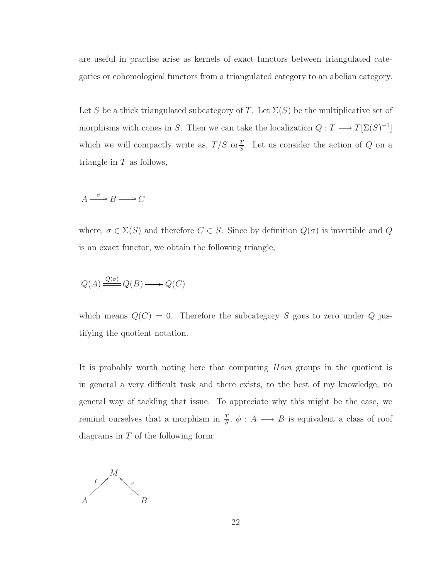are useful in practise arise as kernels of exact functors between triangulated categories or cohomological functors from a triangulated category to an abelian category.

Let S be a thick triangulated subcategory of T. Let  $\Sigma(S)$  be the multiplicative set of morphisms with cones in S. Then we can take the localization  $Q: T \longrightarrow T[\Sigma(S)^{-1}]$ which we will compactly write as,  $T/S$  or  $\frac{T}{S}$ . Let us consider the action of Q on a triangle in  $T$  as follows,

$$
A \xrightarrow{\sigma} B \longrightarrow C
$$

where,  $\sigma \in \Sigma(S)$  and therefore  $C \in S$ . Since by definition  $Q(\sigma)$  is invertible and  $Q$ is an exact functor, we obtain the following triangle,

$$
Q(A) \xrightarrow{Q(\sigma)} Q(B) \longrightarrow Q(C)
$$

which means  $Q(C) = 0$ . Therefore the subcategory S goes to zero under Q justifying the quotient notation.

It is probably worth noting here that computing Hom groups in the quotient is in general a very difficult task and there exists, to the best of my knowledge, no general way of tackling that issue. To appreciate why this might be the case, we remind ourselves that a morphism in  $\frac{T}{S}$ ,  $\phi: A \longrightarrow B$  is equivalent a class of roof diagrams in  $T$  of the following form;

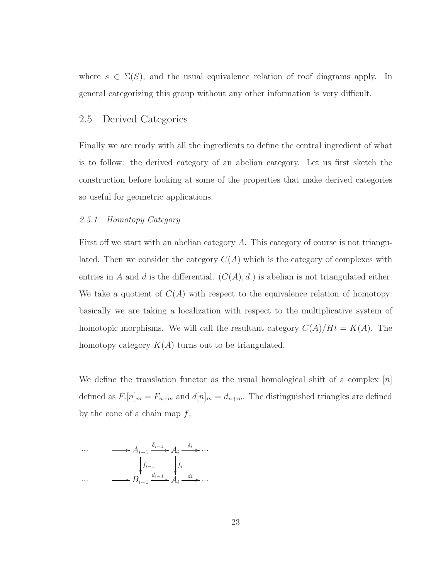where  $s \in \Sigma(S)$ , and the usual equivalence relation of roof diagrams apply. In general categorizing this group without any other information is very difficult.

#### <span id="page-31-0"></span>2.5 Derived Categories

Finally we are ready with all the ingredients to define the central ingredient of what is to follow: the derived category of an abelian category. Let us first sketch the construction before looking at some of the properties that make derived categories so useful for geometric applications.

#### <span id="page-31-1"></span>2.5.1 Homotopy Category

First off we start with an abelian category A. This category of course is not triangulated. Then we consider the category  $C(A)$  which is the category of complexes with entries in A and d is the differential.  $(C(A), d)$  is abelian is not triangulated either. We take a quotient of  $C(A)$  with respect to the equivalence relation of homotopy: basically we are taking a localization with respect to the multiplicative system of homotopic morphisms. We will call the resultant category  $C(A)/Ht = K(A)$ . The homotopy category  $K(A)$  turns out to be triangulated.

We define the translation functor as the usual homological shift of a complex  $|n|$ defined as  $F_{\cdot}[n]_m = F_{n+m}$  and  $d[n]_m = d_{n+m}$ . The distinguished triangles are defined by the cone of a chain map  $f$ ,

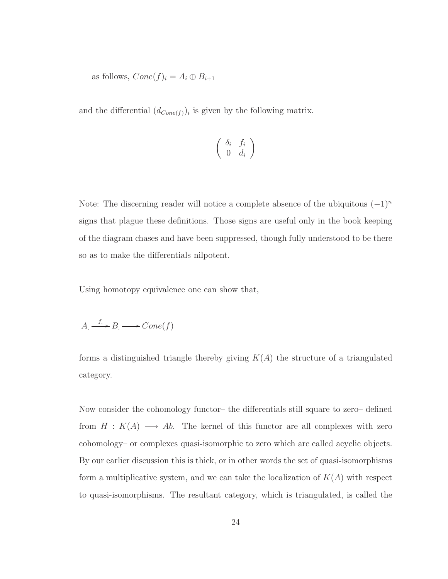as follows,  $Cone(f)_i = A_i \oplus B_{i+1}$ 

and the differential  $(d_{Cone(f)})_i$  is given by the following matrix.

$$
\left(\begin{array}{cc}\delta_i&f_i\\0&d_i\end{array}\right)
$$

Note: The discerning reader will notice a complete absence of the ubiquitous  $(-1)^n$ signs that plague these definitions. Those signs are useful only in the book keeping of the diagram chases and have been suppressed, though fully understood to be there so as to make the differentials nilpotent.

Using homotopy equivalence one can show that,

$$
A \xrightarrow{f} B \longrightarrow Cone(f)
$$

forms a distinguished triangle thereby giving  $K(A)$  the structure of a triangulated category.

Now consider the cohomology functor– the differentials still square to zero– defined from  $H : K(A) \longrightarrow Ab$ . The kernel of this functor are all complexes with zero cohomology– or complexes quasi-isomorphic to zero which are called acyclic objects. By our earlier discussion this is thick, or in other words the set of quasi-isomorphisms form a multiplicative system, and we can take the localization of  $K(A)$  with respect to quasi-isomorphisms. The resultant category, which is triangulated, is called the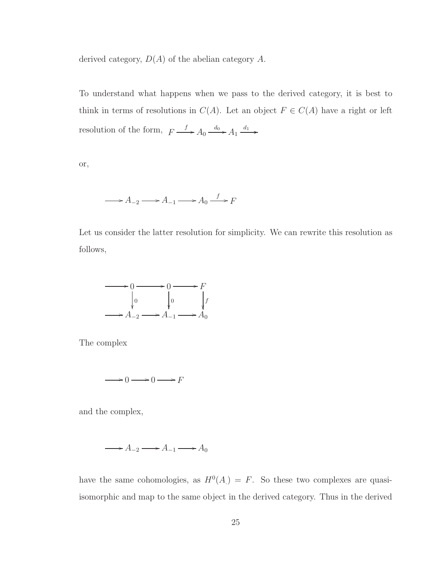derived category,  $D(A)$  of the abelian category A.

To understand what happens when we pass to the derived category, it is best to think in terms of resolutions in  $C(A)$ . Let an object  $F \in C(A)$  have a right or left resolution of the form,  $F \xrightarrow{f} A_0 \xrightarrow{d_0} A_1 \xrightarrow{d_1}$ 

or,

$$
\longrightarrow A_{-2} \longrightarrow A_{-1} \longrightarrow A_0 \stackrel{f}{\longrightarrow} F
$$

Let us consider the latter resolution for simplicity. We can rewrite this resolution as follows,



The complex

$$
\xrightarrow{\hspace{0.5cm}} 0 \xrightarrow{\hspace{0.5cm}} 0 \xrightarrow{\hspace{0.5cm}} F
$$

and the complex,

$$
\longrightarrow A_{-2} \longrightarrow A_{-1} \longrightarrow A_0
$$

have the same cohomologies, as  $H^0(A) = F$ . So these two complexes are quasiisomorphic and map to the same object in the derived category. Thus in the derived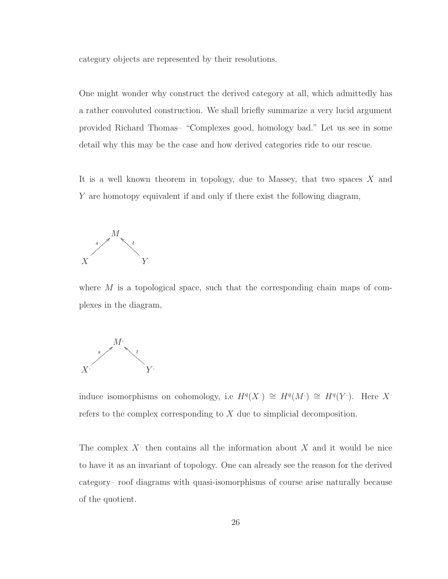category objects are represented by their resolutions.

One might wonder why construct the derived category at all, which admittedly has a rather convoluted construction. We shall briefly summarize a very lucid argument provided Richard Thomas– "Complexes good, homology bad." Let us see in some detail why this may be the case and how derived categories ride to our rescue.

It is a well known theorem in topology, due to Massey, that two spaces  $X$  and Y are homotopy equivalent if and only if there exist the following diagram,



where  $M$  is a topological space, such that the corresponding chain maps of complexes in the diagram,



induce isomorphisms on cohomology, i.e  $H^q(X) \cong H^q(M) \cong H^q(Y)$ . Here X. refers to the complex corresponding to X due to simplicial decomposition.

The complex  $X$  then contains all the information about  $X$  and it would be nice to have it as an invariant of topology. One can already see the reason for the derived category– roof diagrams with quasi-isomorphisms of course arise naturally because of the quotient.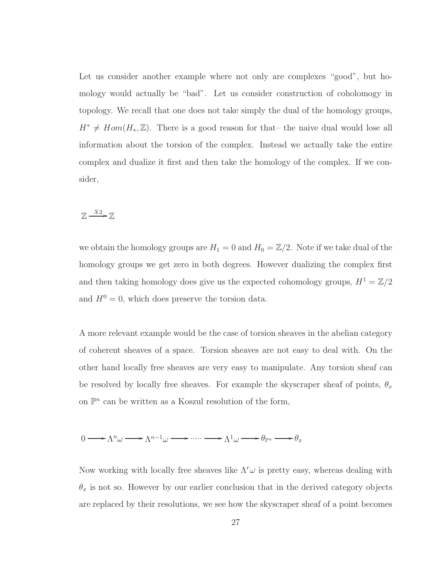Let us consider another example where not only are complexes "good", but homology would actually be "bad". Let us consider construction of coholomogy in topology. We recall that one does not take simply the dual of the homology groups,  $H^* \neq Hom(H_*, \mathbb{Z})$ . There is a good reason for that– the naive dual would lose all information about the torsion of the complex. Instead we actually take the entire complex and dualize it first and then take the homology of the complex. If we consider,

### $\mathbb{Z} \longrightarrow^{\mathbb{X}2} \mathbb{Z}$

we obtain the homology groups are  $H_1 = 0$  and  $H_0 = \mathbb{Z}/2$ . Note if we take dual of the homology groups we get zero in both degrees. However dualizing the complex first and then taking homology does give us the expected cohomology groups,  $H^1 = \mathbb{Z}/2$ and  $H^0 = 0$ , which does preserve the torsion data.

A more relevant example would be the case of torsion sheaves in the abelian category of coherent sheaves of a space. Torsion sheaves are not easy to deal with. On the other hand locally free sheaves are very easy to manipulate. Any torsion sheaf can be resolved by locally free sheaves. For example the skyscraper sheaf of points,  $\theta_x$ on  $\mathbb{P}^n$  can be written as a Koszul resolution of the form,

$$
0 \longrightarrow \Lambda^n \omega \longrightarrow \Lambda^{n-1} \omega \longrightarrow \cdots \longrightarrow \Lambda^1 \omega \longrightarrow \theta_{\mathbb{P}^n} \longrightarrow \theta_x
$$

Now working with locally free sheaves like  $\Lambda^r \omega$  is pretty easy, whereas dealing with  $\theta_x$  is not so. However by our earlier conclusion that in the derived category objects are replaced by their resolutions, we see how the skyscraper sheaf of a point becomes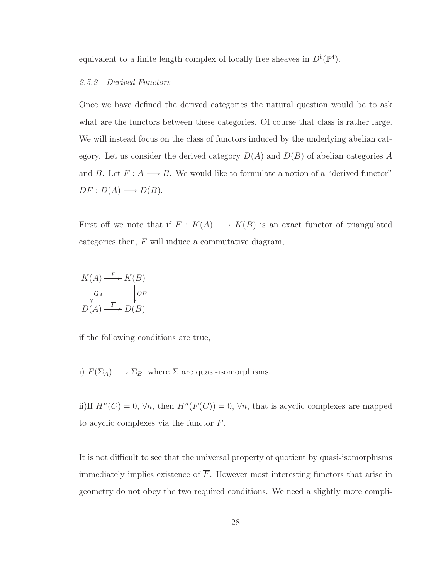equivalent to a finite length complex of locally free sheaves in  $D^b(\mathbb{P}^4)$ .

#### 2.5.2 Derived Functors

Once we have defined the derived categories the natural question would be to ask what are the functors between these categories. Of course that class is rather large. We will instead focus on the class of functors induced by the underlying abelian category. Let us consider the derived category  $D(A)$  and  $D(B)$  of abelian categories A and B. Let  $F: A \longrightarrow B$ . We would like to formulate a notion of a "derived functor"  $DF: D(A) \longrightarrow D(B).$ 

First off we note that if  $F : K(A) \longrightarrow K(B)$  is an exact functor of triangulated categories then,  $F$  will induce a commutative diagram,

$$
K(A) \xrightarrow{F} K(B)
$$
  
\n
$$
\downarrow{Q_A} \qquad \qquad QB
$$
  
\n
$$
D(A) \xrightarrow{\overline{F}} D(B)
$$

if the following conditions are true,

i)  $F(\Sigma_A) \longrightarrow \Sigma_B$ , where  $\Sigma$  are quasi-isomorphisms.

ii)If  $H^n(C) = 0$ ,  $\forall n$ , then  $H^n(F(C)) = 0$ ,  $\forall n$ , that is acyclic complexes are mapped to acyclic complexes via the functor F.

It is not difficult to see that the universal property of quotient by quasi-isomorphisms immediately implies existence of  $\overline{F}$ . However most interesting functors that arise in geometry do not obey the two required conditions. We need a slightly more compli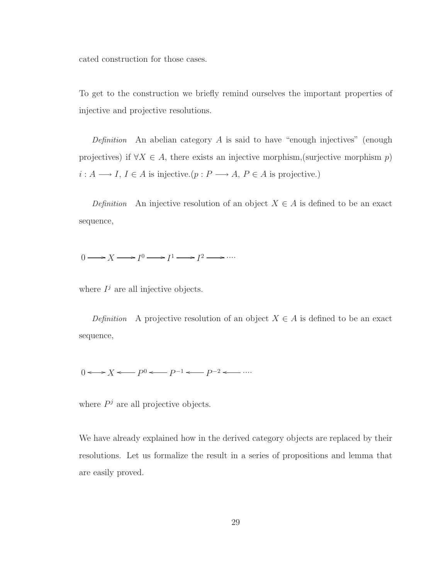cated construction for those cases.

To get to the construction we briefly remind ourselves the important properties of injective and projective resolutions.

Definition An abelian category A is said to have "enough injectives" (enough projectives) if  $\forall X \in A$ , there exists an injective morphism, (surjective morphism p)  $i: A \longrightarrow I,$   $I \in A$  is injective.(  $p: P \longrightarrow A,$   $P \in A$  is projective.)

Definition An injective resolution of an object  $X \in A$  is defined to be an exact sequence,

 $0 \longrightarrow X \longrightarrow I^0 \longrightarrow I^1 \longrightarrow I^2 \longrightarrow \cdots$ 

where  $I^j$  are all injective objects.

Definition A projective resolution of an object  $X \in A$  is defined to be an exact sequence,

 $0 \leftrightarrow X \longleftarrow P^0 \longleftarrow P^{-1} \longleftarrow P^{-2} \longleftarrow \cdots$ 

where  $P<sup>j</sup>$  are all projective objects.

We have already explained how in the derived category objects are replaced by their resolutions. Let us formalize the result in a series of propositions and lemma that are easily proved.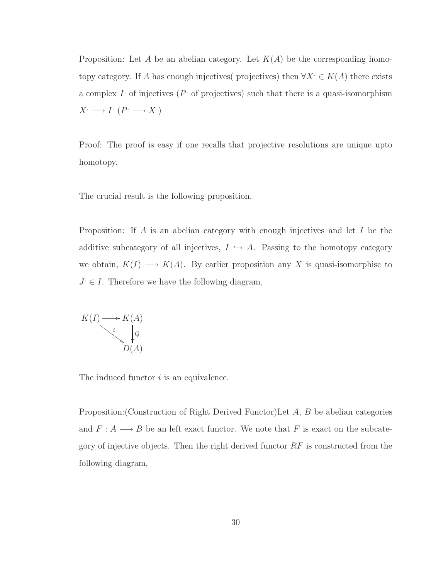Proposition: Let A be an abelian category. Let  $K(A)$  be the corresponding homotopy category. If A has enough injectives( projectives) then  $\forall X \in K(A)$  there exists a complex  $I$  of injectives ( $P$  of projectives) such that there is a quasi-isomorphism  $X^{\cdot} \longrightarrow I^{\cdot} (P^{\cdot} \longrightarrow X^{\cdot})$ 

Proof: The proof is easy if one recalls that projective resolutions are unique upto homotopy.

The crucial result is the following proposition.

Proposition: If A is an abelian category with enough injectives and let I be the additive subcategory of all injectives,  $I \hookrightarrow A$ . Passing to the homotopy category we obtain,  $K(I) \longrightarrow K(A)$ . By earlier proposition any X is quasi-isomorphisc to  $J \in I$ . Therefore we have the following diagram,



The induced functor *i* is an equivalence.

Proposition:(Construction of Right Derived Functor)Let A, B be abelian categories and  $F: A \longrightarrow B$  be an left exact functor. We note that  $F$  is exact on the subcategory of injective objects. Then the right derived functor  $RF$  is constructed from the following diagram,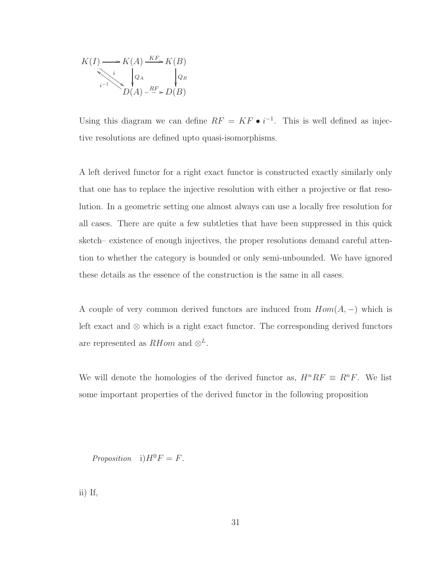$$
K(I) \longrightarrow K(A) \xrightarrow{KF} K(B)
$$
  
\n
$$
\downarrow Q_A
$$
  
\n
$$
D(A) \xrightarrow{RF} D(B)
$$

Using this diagram we can define  $RF = KF \bullet i^{-1}$ . This is well defined as injective resolutions are defined upto quasi-isomorphisms.

A left derived functor for a right exact functor is constructed exactly similarly only that one has to replace the injective resolution with either a projective or flat resolution. In a geometric setting one almost always can use a locally free resolution for all cases. There are quite a few subtleties that have been suppressed in this quick sketch– existence of enough injectives, the proper resolutions demand careful attention to whether the category is bounded or only semi-unbounded. We have ignored these details as the essence of the construction is the same in all cases.

A couple of very common derived functors are induced from  $Hom(A, -)$  which is left exact and ⊗ which is a right exact functor. The corresponding derived functors are represented as  $RHom$  and  $\otimes^L$ .

We will denote the homologies of the derived functor as,  $H^n R F \equiv R^n F$ . We list some important properties of the derived functor in the following proposition

Proposition i) $H^0F = F$ .

ii) If,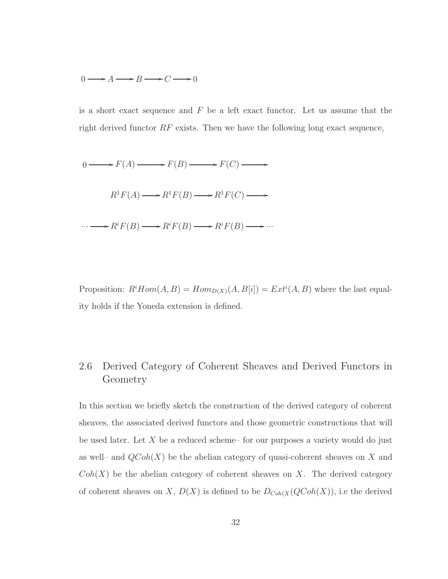#### $0 \longrightarrow A \longrightarrow B \longrightarrow C \longrightarrow 0$

is a short exact sequence and  $F$  be a left exact functor. Let us assume that the right derived functor  $RF$  exists. Then we have the following long exact sequence,



Proposition:  $R^i Hom(A, B) = Hom_{D(X)}(A, B[i]) = Ext^i(A, B)$  where the last equality holds if the Yoneda extension is defined.

# 2.6 Derived Category of Coherent Sheaves and Derived Functors in Geometry

In this section we briefly sketch the construction of the derived category of coherent sheaves, the associated derived functors and those geometric constructions that will be used later. Let  $X$  be a reduced scheme– for our purposes a variety would do just as well– and  $QCoh(X)$  be the abelian category of quasi-coherent sheaves on X and  $Coh(X)$  be the abelian category of coherent sheaves on X. The derived category of coherent sheaves on X,  $D(X)$  is defined to be  $D_{Coh(X)}(QCoh(X))$ , i.e the derived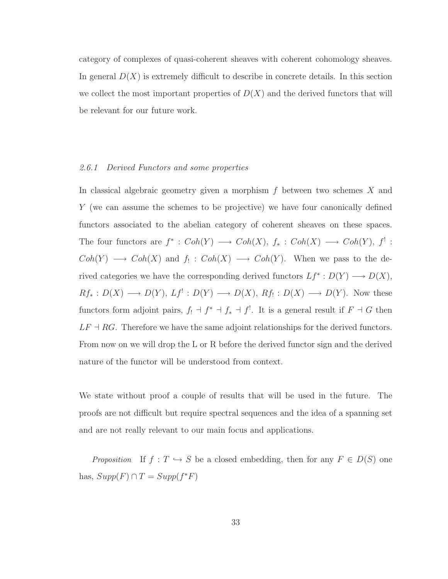category of complexes of quasi-coherent sheaves with coherent cohomology sheaves. In general  $D(X)$  is extremely difficult to describe in concrete details. In this section we collect the most important properties of  $D(X)$  and the derived functors that will be relevant for our future work.

#### 2.6.1 Derived Functors and some properties

In classical algebraic geometry given a morphism  $f$  between two schemes  $X$  and Y (we can assume the schemes to be projective) we have four canonically defined functors associated to the abelian category of coherent sheaves on these spaces. The four functors are  $f^* : Coh(Y) \longrightarrow Coh(X), f_* : Coh(X) \longrightarrow Coh(Y), f'$ :  $Coh(Y) \longrightarrow Coh(X)$  and  $f_! : Coh(X) \longrightarrow Coh(Y)$ . When we pass to the derived categories we have the corresponding derived functors  $Lf^*: D(Y) \longrightarrow D(X)$ ,  $Rf_*: D(X) \longrightarrow D(Y), Lf': D(Y) \longrightarrow D(X), Rf_!: D(X) \longrightarrow D(Y).$  Now these functors form adjoint pairs,  $f_! \dashv f^* \dashv f_* \dashv f^!$ . It is a general result if  $F \dashv G$  then  $LF \dashv RG.$  Therefore we have the same adjoint relationships for the derived functors. From now on we will drop the L or R before the derived functor sign and the derived nature of the functor will be understood from context.

We state without proof a couple of results that will be used in the future. The proofs are not difficult but require spectral sequences and the idea of a spanning set and are not really relevant to our main focus and applications.

*Proposition* If  $f : T \hookrightarrow S$  be a closed embedding, then for any  $F \in D(S)$  one has,  $Supp(F) \cap T = Supp(f^*F)$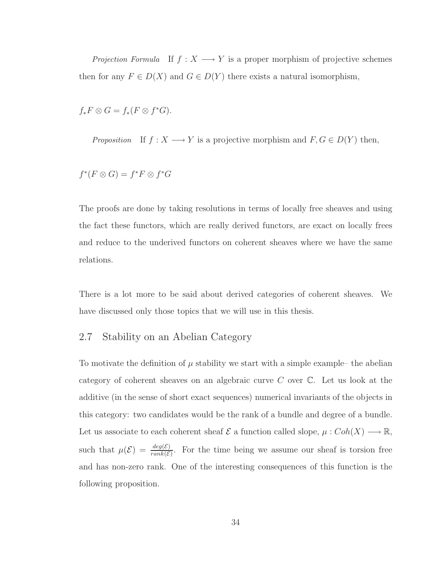*Projection Formula* If  $f : X \longrightarrow Y$  is a proper morphism of projective schemes then for any  $F \in D(X)$  and  $G \in D(Y)$  there exists a natural isomorphism,

 $f_*F\otimes G=f_*(F\otimes f^*G).$ 

*Proposition* If  $f : X \longrightarrow Y$  is a projective morphism and  $F, G \in D(Y)$  then,

$$
f^*(F \otimes G) = f^*F \otimes f^*G
$$

The proofs are done by taking resolutions in terms of locally free sheaves and using the fact these functors, which are really derived functors, are exact on locally frees and reduce to the underived functors on coherent sheaves where we have the same relations.

There is a lot more to be said about derived categories of coherent sheaves. We have discussed only those topics that we will use in this thesis.

#### 2.7 Stability on an Abelian Category

To motivate the definition of  $\mu$  stability we start with a simple example– the abelian category of coherent sheaves on an algebraic curve C over C. Let us look at the additive (in the sense of short exact sequences) numerical invariants of the objects in this category: two candidates would be the rank of a bundle and degree of a bundle. Let us associate to each coherent sheaf  $\mathcal E$  a function called slope,  $\mu: Coh(X) \longrightarrow \mathbb R$ , such that  $\mu(\mathcal{E}) = \frac{deg(\mathcal{E})}{rank(\mathcal{E})}$ . For the time being we assume our sheaf is torsion free and has non-zero rank. One of the interesting consequences of this function is the following proposition.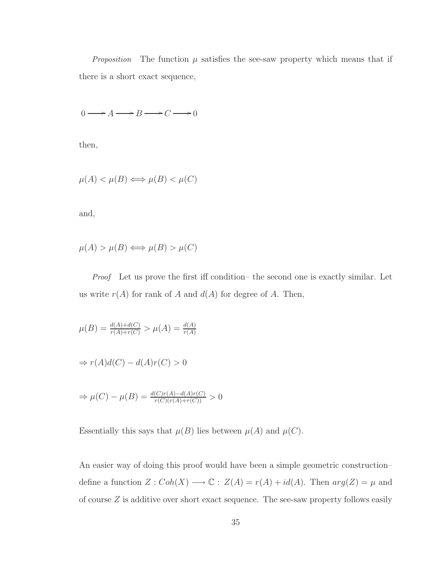*Proposition* The function  $\mu$  satisfies the see-saw property which means that if there is a short exact sequence,

$$
0 \longrightarrow A \longrightarrow B \longrightarrow C \longrightarrow 0
$$

then,

$$
\mu(A) < \mu(B) \Longleftrightarrow \mu(B) < \mu(C)
$$

and,

$$
\mu(A) > \mu(B) \Longleftrightarrow \mu(B) > \mu(C)
$$

Proof Let us prove the first iff condition– the second one is exactly similar. Let us write  $r(A)$  for rank of A and  $d(A)$  for degree of A. Then,

$$
\mu(B) = \frac{d(A) + d(C)}{r(A) + r(C)} > \mu(A) = \frac{d(A)}{r(A)}
$$
  
\n
$$
\Rightarrow r(A)d(C) - d(A)r(C) > 0
$$
  
\n
$$
\Rightarrow \mu(C) - \mu(B) = \frac{d(C)r(A) - d(A)r(C)}{r(C)(r(A) + r(C))} > 0
$$

Essentially this says that  $\mu(B)$  lies between  $\mu(A)$  and  $\mu(C)$ .

An easier way of doing this proof would have been a simple geometric construction– define a function  $Z: Coh(X) \longrightarrow \mathbb{C}$ :  $Z(A) = r(A) + id(A)$ . Then  $arg(Z) = \mu$  and of course Z is additive over short exact sequence. The see-saw property follows easily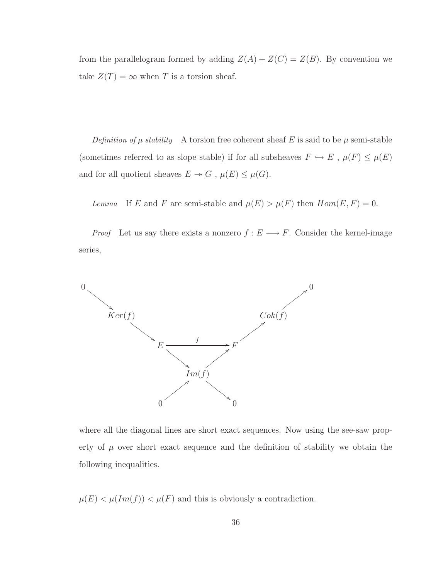from the parallelogram formed by adding  $Z(A) + Z(C) = Z(B)$ . By convention we take  $Z(T) = \infty$  when T is a torsion sheaf.

Definition of  $\mu$  stability A torsion free coherent sheaf E is said to be  $\mu$  semi-stable (sometimes referred to as slope stable) if for all subsheaves  $F \hookrightarrow E$  ,  $\mu(F) \leq \mu(E)$ and for all quotient sheaves  $E \twoheadrightarrow G$  ,  $\mu(E) \leq \mu(G).$ 

Lemma If E and F are semi-stable and  $\mu(E) > \mu(F)$  then  $Hom(E, F) = 0$ .

*Proof* Let us say there exists a nonzero  $f : E \longrightarrow F$ . Consider the kernel-image series,



where all the diagonal lines are short exact sequences. Now using the see-saw property of  $\mu$  over short exact sequence and the definition of stability we obtain the following inequalities.

 $\mu(E) < \mu(Im(f)) < \mu(F)$  and this is obviously a contradiction.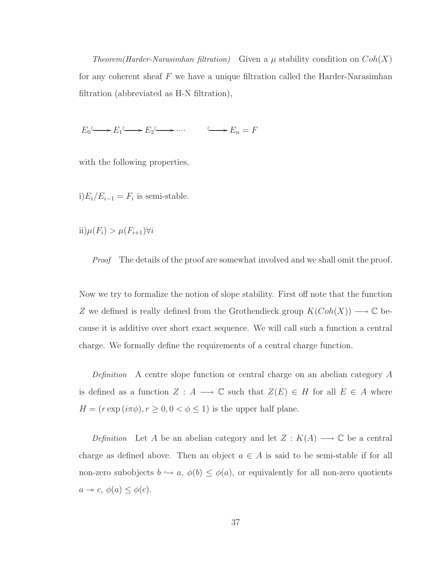Theorem(Harder-Narasimhan filtration) Given a  $\mu$  stability condition on  $Coh(X)$ for any coherent sheaf  $F$  we have a unique filtration called the Harder-Narasimhan filtration (abbreviated as H-N filtration),

 $E_0 \longrightarrow E_1 \longrightarrow E_2 \longrightarrow \cdots \longrightarrow E_n = F$ 

with the following properties,

i) $E_i/E_{i-1} = F_i$  is semi-stable.

 $\text{ii})\mu(F_i) > \mu(F_{i+1})\forall i$ 

Proof The details of the proof are somewhat involved and we shall omit the proof.

Now we try to formalize the notion of slope stability. First off note that the function Z we defined is really defined from the Grothendieck group  $K(Coh(X))$  →  $\mathbb C$  because it is additive over short exact sequence. We will call such a function a central charge. We formally define the requirements of a central charge function.

Definition A centre slope function or central charge on an abelian category A is defined as a function  $Z : A \longrightarrow \mathbb{C}$  such that  $Z(E) \in H$  for all  $E \in A$  where  $H = (r \exp(i\pi\phi), r \ge 0, 0 < \phi \le 1)$  is the upper half plane.

Definition Let A be an abelian category and let  $Z : K(A) \longrightarrow \mathbb{C}$  be a central charge as defined above. Then an object  $a \in A$  is said to be semi-stable if for all non-zero subobjects  $b \hookrightarrow a$ ,  $\phi(b) \leq \phi(a)$ , or equivalently for all non-zero quotients  $a \rightarrow c, \, \phi(a) \leq \phi(c).$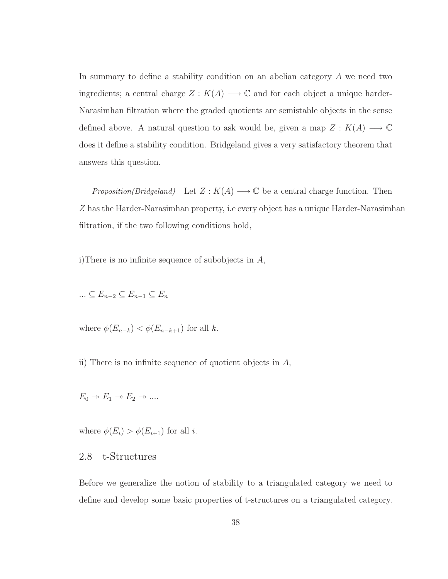In summary to define a stability condition on an abelian category A we need two ingredients; a central charge  $Z : K(A) \longrightarrow \mathbb{C}$  and for each object a unique harder-Narasimhan filtration where the graded quotients are semistable objects in the sense defined above. A natural question to ask would be, given a map  $Z : K(A) \longrightarrow \mathbb{C}$ does it define a stability condition. Bridgeland gives a very satisfactory theorem that answers this question.

*Proposition(Bridgeland)* Let  $Z : K(A) \longrightarrow \mathbb{C}$  be a central charge function. Then Z has the Harder-Narasimhan property, i.e every object has a unique Harder-Narasimhan filtration, if the two following conditions hold,

i)There is no infinite sequence of subobjects in  $A$ ,

$$
\ldots \subseteq E_{n-2} \subseteq E_{n-1} \subseteq E_n
$$

where  $\phi(E_{n-k}) < \phi(E_{n-k+1})$  for all k.

ii) There is no infinite sequence of quotient objects in  $A$ ,

$$
E_0 \twoheadrightarrow E_1 \twoheadrightarrow E_2 \twoheadrightarrow \dots
$$

where  $\phi(E_i) > \phi(E_{i+1})$  for all *i*.

### 2.8 t-Structures

Before we generalize the notion of stability to a triangulated category we need to define and develop some basic properties of t-structures on a triangulated category.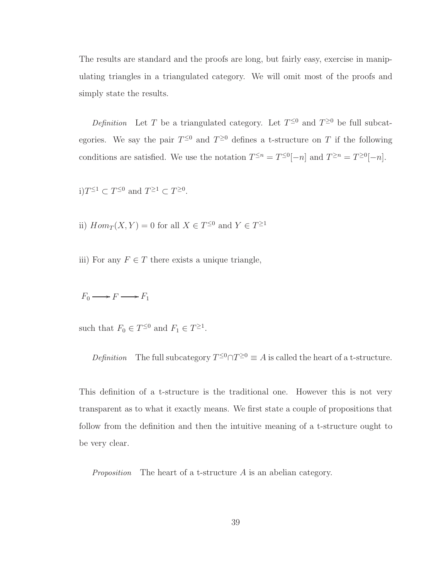The results are standard and the proofs are long, but fairly easy, exercise in manipulating triangles in a triangulated category. We will omit most of the proofs and simply state the results.

Definition Let T be a triangulated category. Let  $T^{\leq 0}$  and  $T^{\geq 0}$  be full subcategories. We say the pair  $T^{\leq 0}$  and  $T^{\geq 0}$  defines a t-structure on T if the following conditions are satisfied. We use the notation  $T^{\leq n} = T^{\leq 0}[-n]$  and  $T^{\geq n} = T^{\geq 0}[-n]$ .

$$
i)T^{\leq 1} \subset T^{\leq 0} \text{ and } T^{\geq 1} \subset T^{\geq 0}.
$$

ii)  $Hom_T(X, Y) = 0$  for all  $X \in T^{\leq 0}$  and  $Y \in T^{\geq 1}$ 

iii) For any  $F \in T$  there exists a unique triangle,

 $F_0 \longrightarrow F \longrightarrow F_1$ 

such that  $F_0 \in T^{\leq 0}$  and  $F_1 \in T^{\geq 1}$ .

Definition The full subcategory  $T^{\leq 0} \cap T^{\geq 0} \equiv A$  is called the heart of a t-structure.

This definition of a t-structure is the traditional one. However this is not very transparent as to what it exactly means. We first state a couple of propositions that follow from the definition and then the intuitive meaning of a t-structure ought to be very clear.

*Proposition* The heart of a t-structure  $\vec{A}$  is an abelian category.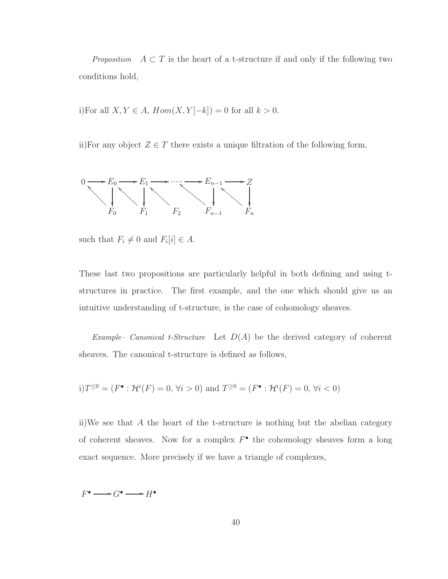*Proposition*  $A \subset T$  is the heart of a t-structure if and only if the following two conditions hold,

i)For all  $X, Y \in A$ ,  $Hom(X, Y[-k]) = 0$  for all  $k > 0$ .

ii)For any object  $Z \in T$  there exists a unique filtration of the following form,



such that  $F_i \neq 0$  and  $F_i[i] \in A$ .

These last two propositions are particularly helpful in both defining and using tstructures in practice. The first example, and the one which should give us an intuitive understanding of t-structure, is the case of cohomology sheaves.

Example– Canonical t-Structure Let  $D(A)$  be the derived category of coherent sheaves. The canonical t-structure is defined as follows,

$$
i) T^{\leq 0} = (F^{\bullet} : \mathcal{H}^i(F) = 0, \forall i > 0)
$$
 and  $T^{\geq 0} = (F^{\bullet} : \mathcal{H}^i(F) = 0, \forall i < 0)$ 

ii)We see that A the heart of the t-structure is nothing but the abelian category of coherent sheaves. Now for a complex  $F^{\bullet}$  the cohomology sheaves form a long exact sequence. More precisely if we have a triangle of complexes,

 $F^{\bullet} \longrightarrow G^{\bullet} \longrightarrow H^{\bullet}$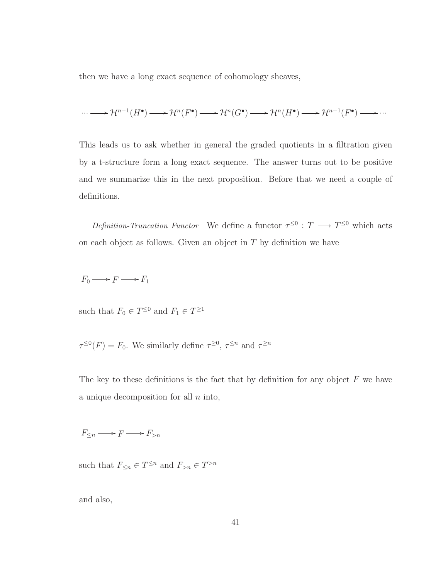then we have a long exact sequence of cohomology sheaves,

$$
\cdots \longrightarrow \mathcal{H}^{n-1}(H^{\bullet}) \longrightarrow \mathcal{H}^{n}(F^{\bullet}) \longrightarrow \mathcal{H}^{n}(G^{\bullet}) \longrightarrow \mathcal{H}^{n}(H^{\bullet}) \longrightarrow \mathcal{H}^{n+1}(F^{\bullet}) \longrightarrow \cdots
$$

This leads us to ask whether in general the graded quotients in a filtration given by a t-structure form a long exact sequence. The answer turns out to be positive and we summarize this in the next proposition. Before that we need a couple of definitions.

Definition-Truncation Functor We define a functor  $\tau^{\leq 0} : T \longrightarrow T^{\leq 0}$  which acts on each object as follows. Given an object in  $T$  by definition we have

$$
F_0 \longrightarrow F \longrightarrow F_1
$$

such that  $F_0 \in T^{\leq 0}$  and  $F_1 \in T^{\geq 1}$ 

 $\tau^{\leq 0}(F) = F_0$ . We similarly define  $\tau^{\geq 0}$ ,  $\tau^{\leq n}$  and  $\tau^{\geq n}$ 

The key to these definitions is the fact that by definition for any object  $F$  we have a unique decomposition for all  $n$  into,

 $F_{\leq n} \longrightarrow F \longrightarrow F_{>n}$ 

such that  $F_{\leq n} \in T^{\leq n}$  and  $F_{>n} \in T^{>n}$ 

and also,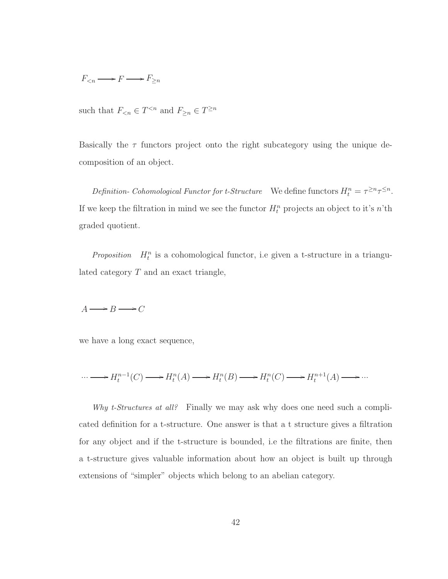$$
F_{\leq n} \longrightarrow F \longrightarrow F_{\geq n}
$$

such that  $F_{\leq n} \in T^{\leq n}$  and  $F_{\geq n} \in T^{\geq n}$ 

Basically the  $\tau$  functors project onto the right subcategory using the unique decomposition of an object.

Definition- Cohomological Functor for t-Structure We define functors  $H_t^n = \tau^{\geq n} \tau^{\leq n}$ . If we keep the filtration in mind we see the functor  $H_t^n$  projects an object to it's n'th graded quotient.

Proposition  $H_t^n$  is a cohomological functor, i.e given a t-structure in a triangulated category  $T$  and an exact triangle,

$$
A \longrightarrow B \longrightarrow C
$$

we have a long exact sequence,

$$
\cdots \longrightarrow H_t^{n-1}(C) \longrightarrow H_t^n(A) \longrightarrow H_t^n(B) \longrightarrow H_t^n(C) \longrightarrow H_t^{n+1}(A) \longrightarrow \cdots
$$

Why t-Structures at all? Finally we may ask why does one need such a complicated definition for a t-structure. One answer is that a t structure gives a filtration for any object and if the t-structure is bounded, i.e the filtrations are finite, then a t-structure gives valuable information about how an object is built up through extensions of "simpler" objects which belong to an abelian category.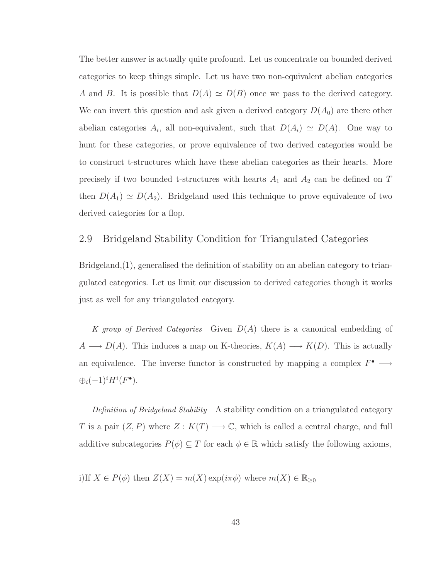The better answer is actually quite profound. Let us concentrate on bounded derived categories to keep things simple. Let us have two non-equivalent abelian categories A and B. It is possible that  $D(A) \simeq D(B)$  once we pass to the derived category. We can invert this question and ask given a derived category  $D(A_0)$  are there other abelian categories  $A_i$ , all non-equivalent, such that  $D(A_i) \simeq D(A)$ . One way to hunt for these categories, or prove equivalence of two derived categories would be to construct t-structures which have these abelian categories as their hearts. More precisely if two bounded t-structures with hearts  $A_1$  and  $A_2$  can be defined on T then  $D(A_1) \simeq D(A_2)$ . Bridgeland used this technique to prove equivalence of two derived categories for a flop.

#### 2.9 Bridgeland Stability Condition for Triangulated Categories

Bridgeland,[\(1](#page-97-0)), generalised the definition of stability on an abelian category to triangulated categories. Let us limit our discussion to derived categories though it works just as well for any triangulated category.

K group of Derived Categories Given  $D(A)$  there is a canonical embedding of  $A \longrightarrow D(A)$ . This induces a map on K-theories,  $K(A) \longrightarrow K(D)$ . This is actually an equivalence. The inverse functor is constructed by mapping a complex  $F^{\bullet} \longrightarrow$  $\bigoplus_i (-1)^i H^i(F^{\bullet}).$ 

Definition of Bridgeland Stability A stability condition on a triangulated category T is a pair  $(Z, P)$  where  $Z : K(T) \longrightarrow \mathbb{C}$ , which is called a central charge, and full additive subcategories  $P(\phi) \subseteq T$  for each  $\phi \in \mathbb{R}$  which satisfy the following axioms,

i)If  $X \in P(\phi)$  then  $Z(X) = m(X) \exp(i\pi\phi)$  where  $m(X) \in \mathbb{R}_{\geq 0}$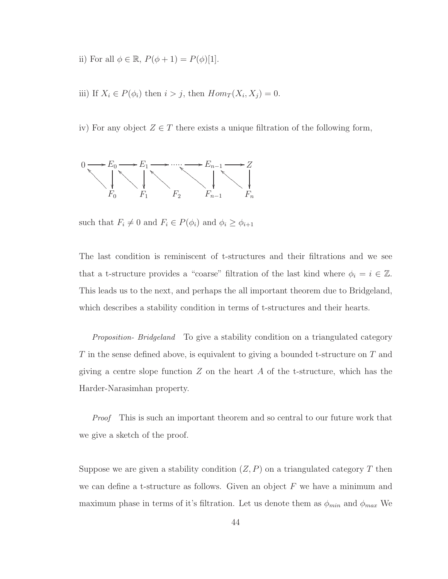- ii) For all  $\phi \in \mathbb{R}$ ,  $P(\phi + 1) = P(\phi)[1]$ .
- iii) If  $X_i \in P(\phi_i)$  then  $i > j$ , then  $Hom_T(X_i, X_j) = 0$ .

iv) For any object  $Z \in T$  there exists a unique filtration of the following form,



such that  $F_i \neq 0$  and  $F_i \in P(\phi_i)$  and  $\phi_i \geq \phi_{i+1}$ 

The last condition is reminiscent of t-structures and their filtrations and we see that a t-structure provides a "coarse" filtration of the last kind where  $\phi_i = i \in \mathbb{Z}$ . This leads us to the next, and perhaps the all important theorem due to Bridgeland, which describes a stability condition in terms of t-structures and their hearts.

Proposition- Bridgeland To give a stability condition on a triangulated category  $T$  in the sense defined above, is equivalent to giving a bounded t-structure on  $T$  and giving a centre slope function  $Z$  on the heart  $A$  of the t-structure, which has the Harder-Narasimhan property.

Proof This is such an important theorem and so central to our future work that we give a sketch of the proof.

Suppose we are given a stability condition  $(Z, P)$  on a triangulated category T then we can define a t-structure as follows. Given an object  $F$  we have a minimum and maximum phase in terms of it's filtration. Let us denote them as  $\phi_{min}$  and  $\phi_{max}$  We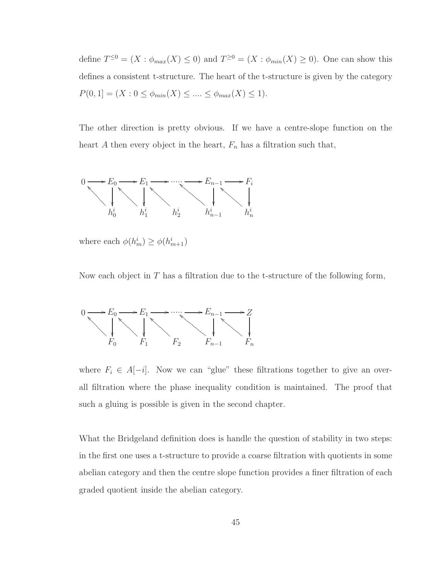define  $T^{\leq 0} = (X : \phi_{max}(X) \leq 0)$  and  $T^{\geq 0} = (X : \phi_{min}(X) \geq 0)$ . One can show this defines a consistent t-structure. The heart of the t-structure is given by the category  $P(0, 1] = (X : 0 \le \phi_{min}(X) \le \dots \le \phi_{max}(X) \le 1).$ 

The other direction is pretty obvious. If we have a centre-slope function on the heart A then every object in the heart,  $F_n$  has a filtration such that,



where each  $\phi(h_m^i) \geq \phi(h_{m+1}^i)$ 

Now each object in  $T$  has a filtration due to the t-structure of the following form,



where  $F_i \in A[-i]$ . Now we can "glue" these filtrations together to give an overall filtration where the phase inequality condition is maintained. The proof that such a gluing is possible is given in the second chapter.

What the Bridgeland definition does is handle the question of stability in two steps: in the first one uses a t-structure to provide a coarse filtration with quotients in some abelian category and then the centre slope function provides a finer filtration of each graded quotient inside the abelian category.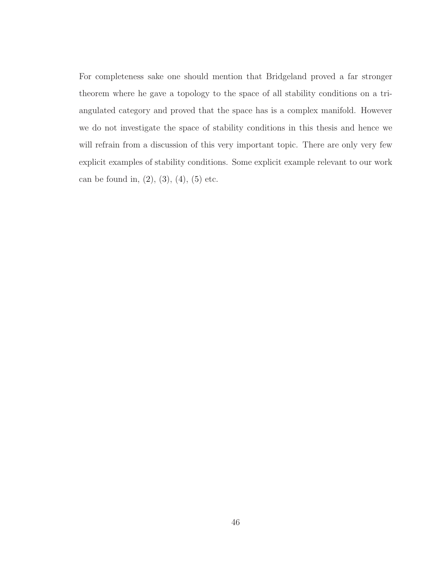For completeness sake one should mention that Bridgeland proved a far stronger theorem where he gave a topology to the space of all stability conditions on a triangulated category and proved that the space has is a complex manifold. However we do not investigate the space of stability conditions in this thesis and hence we will refrain from a discussion of this very important topic. There are only very few explicit examples of stability conditions. Some explicit example relevant to our work can be found in,  $(2)$ ,  $(3)$ ,  $(4)$ ,  $(5)$  etc.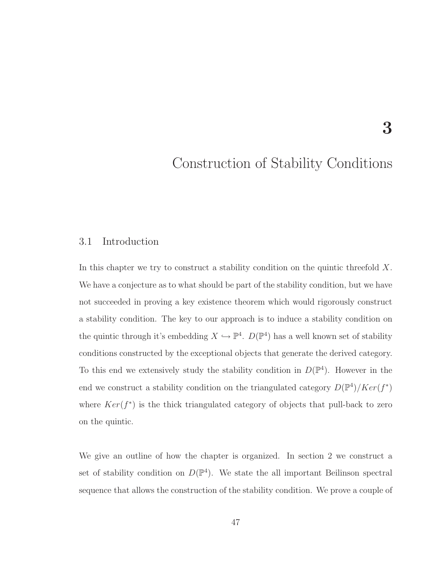# Construction of Stability Conditions

3

#### 3.1 Introduction

In this chapter we try to construct a stability condition on the quintic threefold  $X$ . We have a conjecture as to what should be part of the stability condition, but we have not succeeded in proving a key existence theorem which would rigorously construct a stability condition. The key to our approach is to induce a stability condition on the quintic through it's embedding  $X \hookrightarrow \mathbb{P}^4$ .  $D(\mathbb{P}^4)$  has a well known set of stability conditions constructed by the exceptional objects that generate the derived category. To this end we extensively study the stability condition in  $D(\mathbb{P}^4)$ . However in the end we construct a stability condition on the triangulated category  $D(\mathbb{P}^4)/Ker(f^*)$ where  $Ker(f^*)$  is the thick triangulated category of objects that pull-back to zero on the quintic.

We give an outline of how the chapter is organized. In section 2 we construct a set of stability condition on  $D(\mathbb{P}^4)$ . We state the all important Beilinson spectral sequence that allows the construction of the stability condition. We prove a couple of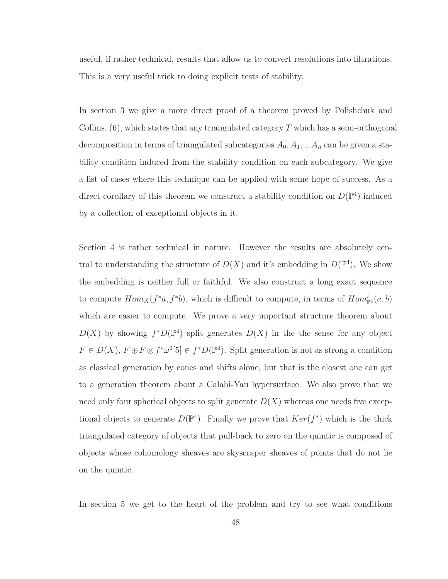useful, if rather technical, results that allow us to convert resolutions into filtrations. This is a very useful trick to doing explicit tests of stability.

In section 3 we give a more direct proof of a theorem proved by Polishchuk and Collins,  $(6)$ , which states that any triangulated category T which has a semi-orthogonal decomposition in terms of triangulated subcategories  $A_0, A_1, \ldots, A_n$  can be given a stability condition induced from the stability condition on each subcategory. We give a list of cases where this technique can be applied with some hope of success. As a direct corollary of this theorem we construct a stability condition on  $D(\mathbb{P}^4)$  induced by a collection of exceptional objects in it.

Section 4 is rather technical in nature. However the results are absolutely central to understanding the structure of  $D(X)$  and it's embedding in  $D(\mathbb{P}^4)$ . We show the embedding is neither full or faithful. We also construct a long exact sequence to compute  $Hom_X(f^*a, f^*b)$ , which is difficult to compute, in terms of  $Hom_{\mathbb{P}^4}^i(a, b)$ which are easier to compute. We prove a very important structure theorem about  $D(X)$  by showing  $f^*D(\mathbb{P}^4)$  split generates  $D(X)$  in the the sense for any object  $F \in D(X), F \oplus F \otimes f^* \omega^3[5] \in f^*D(\mathbb{P}^4)$ . Split generation is not as strong a condition as classical generation by cones and shifts alone, but that is the closest one can get to a generation theorem about a Calabi-Yau hypersurface. We also prove that we need only four spherical objects to split generate  $D(X)$  whereas one needs five exceptional objects to generate  $D(\mathbb{P}^4)$ . Finally we prove that  $Ker(f^*)$  which is the thick triangulated category of objects that pull-back to zero on the quintic is composed of objects whose cohomology sheaves are skyscraper sheaves of points that do not lie on the quintic.

In section 5 we get to the heart of the problem and try to see what conditions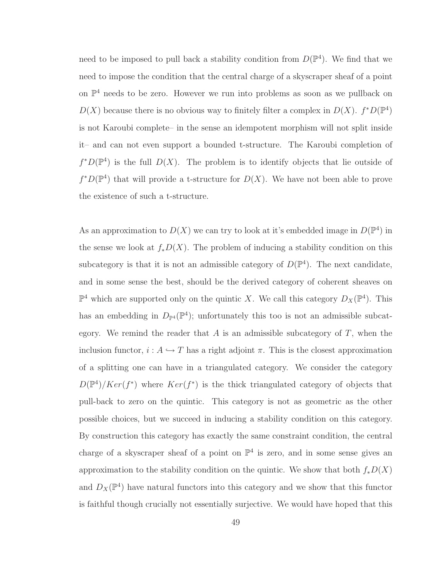need to be imposed to pull back a stability condition from  $D(\mathbb{P}^4)$ . We find that we need to impose the condition that the central charge of a skyscraper sheaf of a point on P <sup>4</sup> needs to be zero. However we run into problems as soon as we pullback on  $D(X)$  because there is no obvious way to finitely filter a complex in  $D(X)$ .  $f^*D(\mathbb{P}^4)$ is not Karoubi complete– in the sense an idempotent morphism will not split inside it– and can not even support a bounded t-structure. The Karoubi completion of  $f^*D(\mathbb{P}^4)$  is the full  $D(X)$ . The problem is to identify objects that lie outside of  $f^*D(\mathbb{P}^4)$  that will provide a t-structure for  $D(X)$ . We have not been able to prove the existence of such a t-structure.

As an approximation to  $D(X)$  we can try to look at it's embedded image in  $D(\mathbb{P}^4)$  in the sense we look at  $f_*D(X)$ . The problem of inducing a stability condition on this subcategory is that it is not an admissible category of  $D(\mathbb{P}^4)$ . The next candidate, and in some sense the best, should be the derived category of coherent sheaves on  $\mathbb{P}^4$  which are supported only on the quintic X. We call this category  $D_X(\mathbb{P}^4)$ . This has an embedding in  $D_{\mathbb{P}^4}(\mathbb{P}^4)$ ; unfortunately this too is not an admissible subcategory. We remind the reader that  $A$  is an admissible subcategory of  $T$ , when the inclusion functor,  $i : A \hookrightarrow T$  has a right adjoint  $\pi$ . This is the closest approximation of a splitting one can have in a triangulated category. We consider the category  $D(\mathbb{P}^4)/Ker(f^*)$  where  $Ker(f^*)$  is the thick triangulated category of objects that pull-back to zero on the quintic. This category is not as geometric as the other possible choices, but we succeed in inducing a stability condition on this category. By construction this category has exactly the same constraint condition, the central charge of a skyscraper sheaf of a point on  $\mathbb{P}^4$  is zero, and in some sense gives an approximation to the stability condition on the quintic. We show that both  $f_*D(X)$ and  $D_X(\mathbb{P}^4)$  have natural functors into this category and we show that this functor is faithful though crucially not essentially surjective. We would have hoped that this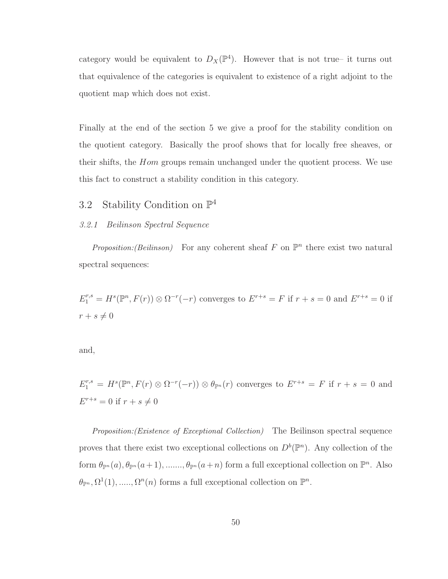category would be equivalent to  $D_X(\mathbb{P}^4)$ . However that is not true– it turns out that equivalence of the categories is equivalent to existence of a right adjoint to the quotient map which does not exist.

Finally at the end of the section 5 we give a proof for the stability condition on the quotient category. Basically the proof shows that for locally free sheaves, or their shifts, the Hom groups remain unchanged under the quotient process. We use this fact to construct a stability condition in this category.

# 3.2 Stability Condition on  $\mathbb{P}^4$

#### 3.2.1 Beilinson Spectral Sequence

Proposition: (Beilinson) For any coherent sheaf F on  $\mathbb{P}^n$  there exist two natural spectral sequences:

 $E_1^{r,s} = H^s(\mathbb{P}^n, F(r)) \otimes \Omega^{-r}(-r)$  converges to  $E^{r+s} = F$  if  $r+s=0$  and  $E^{r+s} = 0$  if  $r + s \neq 0$ 

and,

 $E_1^{r,s} = H^s(\mathbb{P}^n, F(r) \otimes \Omega^{-r}(-r)) \otimes \theta_{\mathbb{P}^n}(r)$  converges to  $E^{r+s} = F$  if  $r+s=0$  and  $E^{r+s} = 0$  if  $r + s \neq 0$ 

Proposition:(Existence of Exceptional Collection) The Beilinson spectral sequence proves that there exist two exceptional collections on  $D^b(\mathbb{P}^n)$ . Any collection of the form  $\theta_{\mathbb{P}^n}(a), \theta_{\mathbb{P}^n}(a+1), \dots, \theta_{\mathbb{P}^n}(a+n)$  form a full exceptional collection on  $\mathbb{P}^n$ . Also  $\theta_{\mathbb{P}^n}, \Omega^1(1), \ldots, \Omega^n(n)$  forms a full exceptional collection on  $\mathbb{P}^n$ .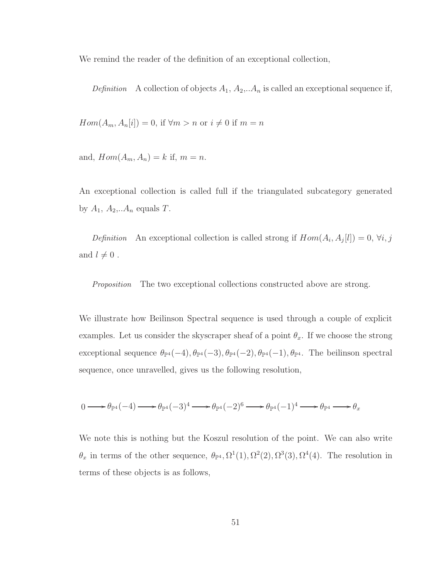We remind the reader of the definition of an exceptional collection,

Definition A collection of objects  $A_1, A_2, A_n$  is called an exceptional sequence if,

 $Hom(A_m, A_n[i]) = 0$ , if  $\forall m > n$  or  $i \neq 0$  if  $m = n$ 

and,  $Hom(A_m, A_n) = k$  if,  $m = n$ .

An exceptional collection is called full if the triangulated subcategory generated by  $A_1$ ,  $A_2$ ,... $A_n$  equals  $T$ .

Definition An exceptional collection is called strong if  $Hom(A_i, A_j[l]) = 0, \forall i, j$ and  $l \neq 0$ .

Proposition The two exceptional collections constructed above are strong.

We illustrate how Beilinson Spectral sequence is used through a couple of explicit examples. Let us consider the skyscraper sheaf of a point  $\theta_x$ . If we choose the strong exceptional sequence  $\theta_{\mathbb{P}^4}(-4), \theta_{\mathbb{P}^4}(-3), \theta_{\mathbb{P}^4}(-2), \theta_{\mathbb{P}^4}(-1), \theta_{\mathbb{P}^4}$ . The beilinson spectral sequence, once unravelled, gives us the following resolution,

$$
0 \longrightarrow \theta_{\mathbb{P}^4}(-4) \longrightarrow \theta_{\mathbb{P}^4}(-3)^4 \longrightarrow \theta_{\mathbb{P}^4}(-2)^6 \longrightarrow \theta_{\mathbb{P}^4}(-1)^4 \longrightarrow \theta_{\mathbb{P}^4} \longrightarrow \theta_{x}
$$

We note this is nothing but the Koszul resolution of the point. We can also write  $\theta_x$  in terms of the other sequence,  $\theta_{\mathbb{P}^4}$ ,  $\Omega^1(1), \Omega^2(2), \Omega^3(3), \Omega^4(4)$ . The resolution in terms of these objects is as follows,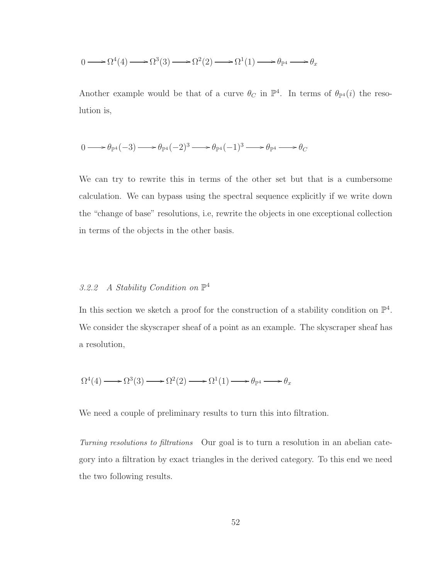$$
0 \longrightarrow \Omega^4(4) \longrightarrow \Omega^3(3) \longrightarrow \Omega^2(2) \longrightarrow \Omega^1(1) \longrightarrow \theta_{\mathbb{P}^4} \longrightarrow \theta_x
$$

Another example would be that of a curve  $\theta_C$  in  $\mathbb{P}^4$ . In terms of  $\theta_{\mathbb{P}^4}(i)$  the resolution is,

$$
0 \longrightarrow \theta_{\mathbb{P}^4}(-3) \longrightarrow \theta_{\mathbb{P}^4}(-2)^3 \longrightarrow \theta_{\mathbb{P}^4}(-1)^3 \longrightarrow \theta_{\mathbb{P}^4} \longrightarrow \theta_{C}
$$

We can try to rewrite this in terms of the other set but that is a cumbersome calculation. We can bypass using the spectral sequence explicitly if we write down the "change of base" resolutions, i.e, rewrite the objects in one exceptional collection in terms of the objects in the other basis.

## 3.2.2 A Stability Condition on  $\mathbb{P}^4$

In this section we sketch a proof for the construction of a stability condition on  $\mathbb{P}^4$ . We consider the skyscraper sheaf of a point as an example. The skyscraper sheaf has a resolution,

$$
\Omega^4(4) \longrightarrow \Omega^3(3) \longrightarrow \Omega^2(2) \longrightarrow \Omega^1(1) \longrightarrow \theta_{\mathbb{P}^4} \longrightarrow \theta_x
$$

We need a couple of preliminary results to turn this into filtration.

Turning resolutions to filtrations Our goal is to turn a resolution in an abelian category into a filtration by exact triangles in the derived category. To this end we need the two following results.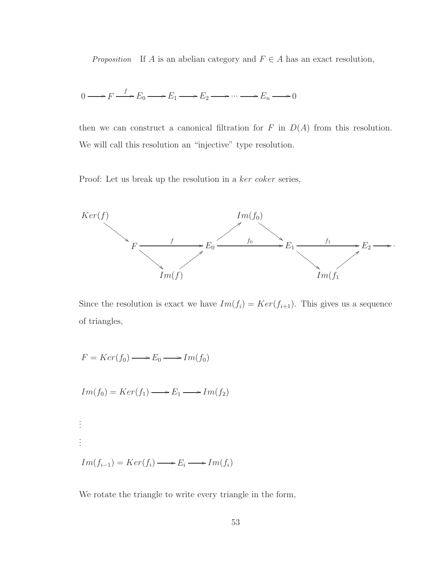*Proposition* If A is an abelian category and  $F \in A$  has an exact resolution,

$$
0 \longrightarrow F \xrightarrow{f} E_0 \longrightarrow E_1 \longrightarrow E_2 \longrightarrow \cdots \longrightarrow E_n \longrightarrow 0
$$

then we can construct a canonical filtration for  $F$  in  $D(A)$  from this resolution. We will call this resolution an "injective" type resolution.

Proof: Let us break up the resolution in a ker coker series,



Since the resolution is exact we have  $Im(f_i) = Ker(f_{i+1})$ . This gives us a sequence of triangles,

$$
F = Ker(f_0) \longrightarrow E_0 \longrightarrow Im(f_0)
$$

$$
Im(f_0) = Ker(f_1) \longrightarrow E_1 \longrightarrow Im(f_2)
$$

. . . . . .  $Im(f_{i-1}) = Ker(f_i) \longrightarrow E_i \longrightarrow Im(f_i)$ 

We rotate the triangle to write every triangle in the form,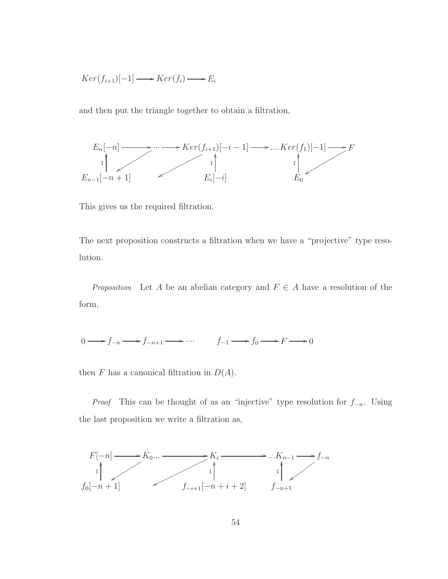$$
Ker(f_{i+1})[-1] \longrightarrow Ker(f_i) \longrightarrow E_i
$$

and then put the triangle together to obtain a filtration,



This gives us the required filtration.

The next proposition constructs a filtration when we have a "projective" type resolution.

*Proposition* Let A be an abelian category and  $F \in A$  have a resolution of the form,

$$
0 \longrightarrow f_{-n} \longrightarrow f_{-n+1} \longrightarrow \cdots \qquad f_{-1} \longrightarrow f_0 \longrightarrow F \longrightarrow 0
$$

then F has a canonical filtration in  $D(A)$ .

*Proof* This can be thought of as an "injective" type resolution for  $f_{-n}$ . Using the last proposition we write a filtration as,

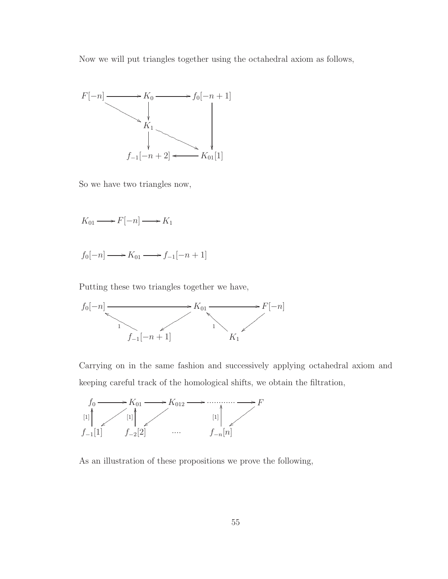Now we will put triangles together using the octahedral axiom as follows,



So we have two triangles now,

 $K_{01} \longrightarrow F[-n] \longrightarrow K_1$ 

 $f_0[-n] \longrightarrow K_{01} \longrightarrow f_{-1}[-n+1]$ 

Putting these two triangles together we have,



Carrying on in the same fashion and successively applying octahedral axiom and keeping careful track of the homological shifts, we obtain the filtration,



As an illustration of these propositions we prove the following,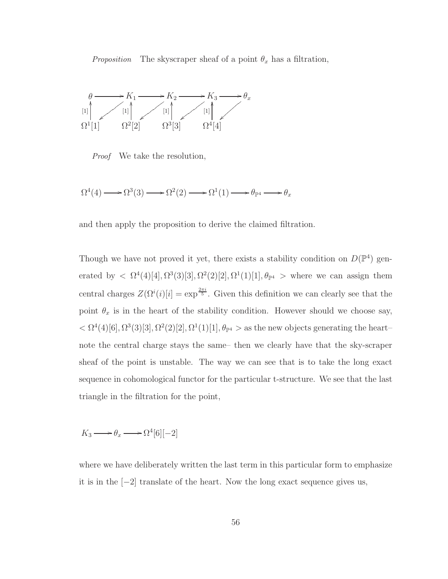*Proposition* The skyscraper sheaf of a point  $\theta_x$  has a filtration,



Proof We take the resolution,

 $\Omega^4(4) \longrightarrow \Omega^3(3) \longrightarrow \Omega^2(2) \longrightarrow \Omega^1(1) \longrightarrow \theta_{\mathbb{P}^4} \longrightarrow \theta_x$ 

and then apply the proposition to derive the claimed filtration.

Though we have not proved it yet, there exists a stability condition on  $D(\mathbb{P}^4)$  generated by  $\langle \Omega^4(4) [4], \Omega^3(3) [3], \Omega^2(2) [2], \Omega^1(1) [1], \theta_{\mathbb{P}^4} > \mathbb{P}^4$  where we can assign them central charges  $Z(\Omega^i(i)[i]) = \exp^{\frac{2\pi i}{5}}$ . Given this definition we can clearly see that the point  $\theta_x$  is in the heart of the stability condition. However should we choose say,  $< \Omega^4(4)[6], \Omega^3(3)[3], \Omega^2(2)[2], \Omega^1(1)[1], \theta_{\mathbb{P}^4} >$  as the new objects generating the heartnote the central charge stays the same– then we clearly have that the sky-scraper sheaf of the point is unstable. The way we can see that is to take the long exact sequence in cohomological functor for the particular t-structure. We see that the last triangle in the filtration for the point,

 $K_3 \longrightarrow \theta_x \longrightarrow \Omega^4[6][-2]$ 

where we have deliberately written the last term in this particular form to emphasize it is in the [−2] translate of the heart. Now the long exact sequence gives us,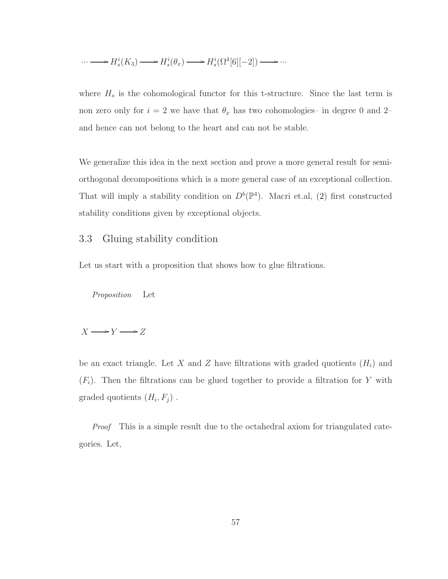$$
\cdots \longrightarrow H^{i}_s(K_3) \longrightarrow H^{i}_s(\theta_x) \longrightarrow H^{i}_s(\Omega^4[6][-2]) \longrightarrow \cdots
$$

where  $H_s$  is the cohomological functor for this t-structure. Since the last term is non zero only for  $i = 2$  we have that  $\theta_x$  has two cohomologies– in degree 0 and 2– and hence can not belong to the heart and can not be stable.

We generalize this idea in the next section and prove a more general result for semiorthogonal decompositions which is a more general case of an exceptional collection. That will imply a stability condition on  $D^b(\mathbb{P}^4)$ . Macri et.al, [\(2\)](#page-97-1) first constructed stability conditions given by exceptional objects.

## 3.3 Gluing stability condition

Let us start with a proposition that shows how to glue filtrations.

Proposition Let

$$
X \longrightarrow Y \longrightarrow Z
$$

be an exact triangle. Let X and Z have filtrations with graded quotients  $(H_i)$  and  $(F_i)$ . Then the filtrations can be glued together to provide a filtration for Y with graded quotients  $(H_i, F_j)$ .

Proof This is a simple result due to the octahedral axiom for triangulated categories. Let,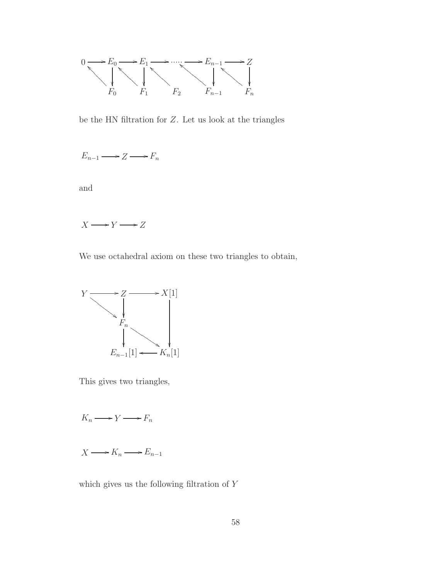

be the HN filtration for Z. Let us look at the triangles

$$
E_{n-1} \longrightarrow Z \longrightarrow F_n
$$

and

$$
X\!\longrightarrow\! Y\!\longrightarrow\! Z
$$

We use octahedral axiom on these two triangles to obtain,



This gives two triangles,

$$
K_n \longrightarrow Y \longrightarrow F_n
$$

$$
X \longrightarrow K_n \longrightarrow E_{n-1}
$$

which gives us the following filtration of Y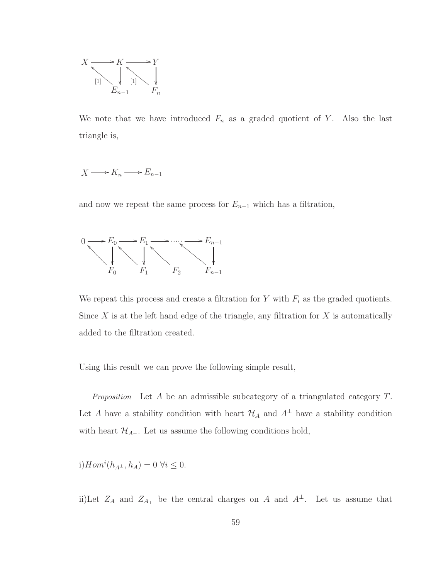

We note that we have introduced  $F_n$  as a graded quotient of Y. Also the last triangle is,

$$
X \longrightarrow K_n \longrightarrow E_{n-1}
$$

and now we repeat the same process for  $E_{n-1}$  which has a filtration,



We repeat this process and create a filtration for  $Y$  with  $F_i$  as the graded quotients. Since  $X$  is at the left hand edge of the triangle, any filtration for  $X$  is automatically added to the filtration created.

Using this result we can prove the following simple result,

Proposition Let  $A$  be an admissible subcategory of a triangulated category  $T$ . Let  $A$  have a stability condition with heart  $\mathcal{H}_A$  and  $A^{\perp}$  have a stability condition with heart  $\mathcal{H}_{A^{\perp}}.$  Let us assume the following conditions hold,

i) 
$$
Hom^{i}(h_{A^{\perp}}, h_{A}) = 0 \ \forall i \leq 0.
$$

ii)Let  $Z_A$  and  $Z_{A_\perp}$  be the central charges on A and  $A^\perp$ . Let us assume that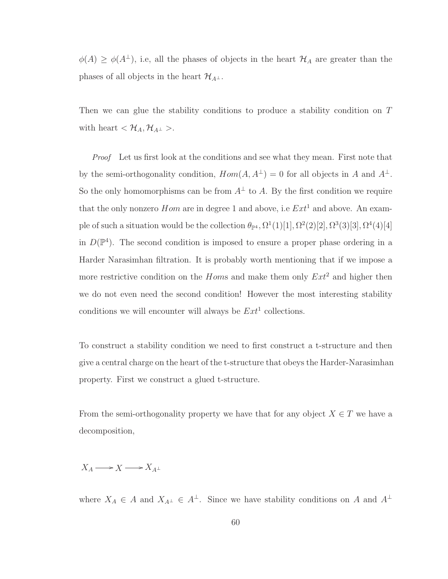$\phi(A) \geq \phi(A^{\perp}),$  i.e, all the phases of objects in the heart  $\mathcal{H}_A$  are greater than the phases of all objects in the heart  $\mathcal{H}_{A^{\perp}}$ .

Then we can glue the stability conditions to produce a stability condition on T with heart  $<\mathcal{H}_A, \mathcal{H}_{A^\perp}$ .

Proof Let us first look at the conditions and see what they mean. First note that by the semi-orthogonality condition,  $Hom(A, A^{\perp}) = 0$  for all objects in A and  $A^{\perp}$ . So the only homomorphisms can be from  $A^{\perp}$  to A. By the first condition we require that the only nonzero *Hom* are in degree 1 and above, i.e  $Ext<sup>1</sup>$  and above. An example of such a situation would be the collection  $\theta_{\mathbb{P}^4}$ ,  $\Omega^1(1)[1], \Omega^2(2)[2], \Omega^3(3)[3], \Omega^4(4)[4]$ in  $D(\mathbb{P}^4)$ . The second condition is imposed to ensure a proper phase ordering in a Harder Narasimhan filtration. It is probably worth mentioning that if we impose a more restrictive condition on the *Homs* and make them only  $Ext^2$  and higher then we do not even need the second condition! However the most interesting stability conditions we will encounter will always be  $Ext<sup>1</sup>$  collections.

To construct a stability condition we need to first construct a t-structure and then give a central charge on the heart of the t-structure that obeys the Harder-Narasimhan property. First we construct a glued t-structure.

From the semi-orthogonality property we have that for any object  $X \in T$  we have a decomposition,

## $X_A \longrightarrow X \longrightarrow X_{A^{\perp}}$

where  $X_A \in A$  and  $X_{A^{\perp}} \in A^{\perp}$ . Since we have stability conditions on A and  $A^{\perp}$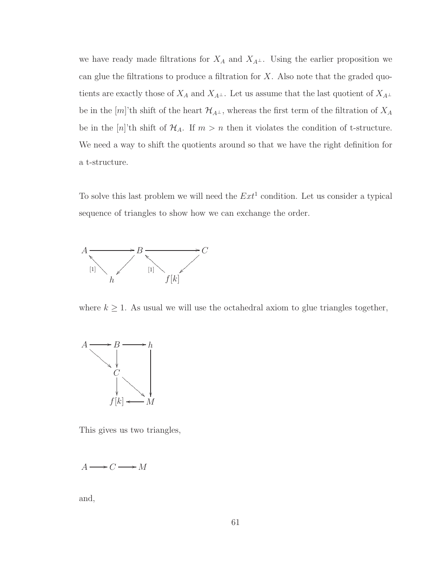we have ready made filtrations for  $X_A$  and  $X_{A^{\perp}}$ . Using the earlier proposition we can glue the filtrations to produce a filtration for  $X$ . Also note that the graded quotients are exactly those of  $X_A$  and  $X_{A^{\perp}}$ . Let us assume that the last quotient of  $X_{A^{\perp}}$ be in the [m]'th shift of the heart  $\mathcal{H}_{A^{\perp}}$ , whereas the first term of the filtration of  $X_A$ be in the  $[n]$ 'th shift of  $\mathcal{H}_A$ . If  $m > n$  then it violates the condition of t-structure. We need a way to shift the quotients around so that we have the right definition for a t-structure.

To solve this last problem we will need the  $Ext<sup>1</sup>$  condition. Let us consider a typical sequence of triangles to show how we can exchange the order.



where  $k \geq 1$ . As usual we will use the octahedral axiom to glue triangles together,



This gives us two triangles,

 $A \longrightarrow C \longrightarrow M$ 

and,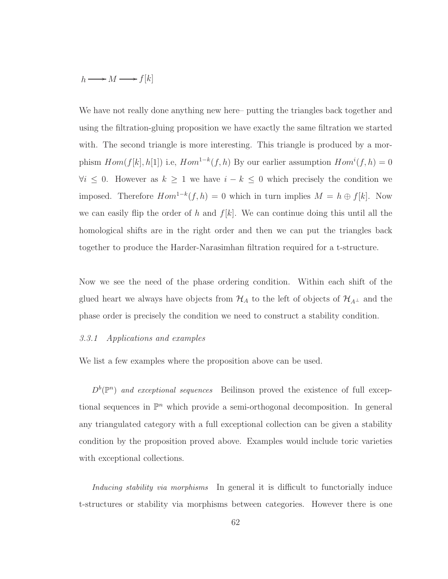$$
h \longrightarrow M \longrightarrow f[k]
$$

We have not really done anything new here– putting the triangles back together and using the filtration-gluing proposition we have exactly the same filtration we started with. The second triangle is more interesting. This triangle is produced by a morphism  $Hom(f[k], h[1])$  i.e,  $Hom^{1-k}(f, h)$  By our earlier assumption  $Hom<sup>i</sup>(f, h) = 0$  $\forall i \leq 0$ . However as  $k \geq 1$  we have  $i - k \leq 0$  which precisely the condition we imposed. Therefore  $Hom^{1-k}(f, h) = 0$  which in turn implies  $M = h \oplus f[k]$ . Now we can easily flip the order of h and  $f[k]$ . We can continue doing this until all the homological shifts are in the right order and then we can put the triangles back together to produce the Harder-Narasimhan filtration required for a t-structure.

Now we see the need of the phase ordering condition. Within each shift of the glued heart we always have objects from  $\mathcal{H}_A$  to the left of objects of  $\mathcal{H}_{A^{\perp}}$  and the phase order is precisely the condition we need to construct a stability condition.

#### 3.3.1 Applications and examples

We list a few examples where the proposition above can be used.

 $D^b(\mathbb{P}^n)$  and exceptional sequences Beilinson proved the existence of full exceptional sequences in  $\mathbb{P}^n$  which provide a semi-orthogonal decomposition. In general any triangulated category with a full exceptional collection can be given a stability condition by the proposition proved above. Examples would include toric varieties with exceptional collections.

Inducing stability via morphisms In general it is difficult to functorially induce t-structures or stability via morphisms between categories. However there is one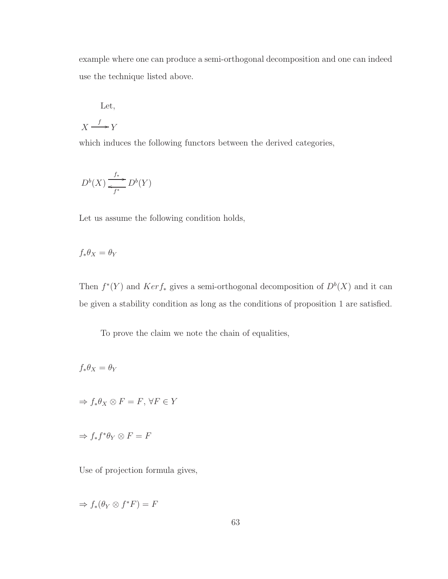example where one can produce a semi-orthogonal decomposition and one can indeed use the technique listed above.

Let,

$$
X \xrightarrow{f} Y
$$

which induces the following functors between the derived categories,

$$
D^b(X) \xrightarrow [f^*]{f^*} D^b(Y)
$$

Let us assume the following condition holds,

$$
f_*\theta_X = \theta_Y
$$

Then  $f^*(Y)$  and  $Ker f_*$  gives a semi-orthogonal decomposition of  $D^b(X)$  and it can be given a stability condition as long as the conditions of proposition 1 are satisfied.

To prove the claim we note the chain of equalities,

$$
f_*\theta_X = \theta_Y
$$

$$
\Rightarrow f_* \theta_X \otimes F = F, \,\forall F \in Y
$$

$$
\Rightarrow f_* f^* \theta_Y \otimes F = F
$$

Use of projection formula gives,

$$
\Rightarrow f_*(\theta_Y \otimes f^*F) = F
$$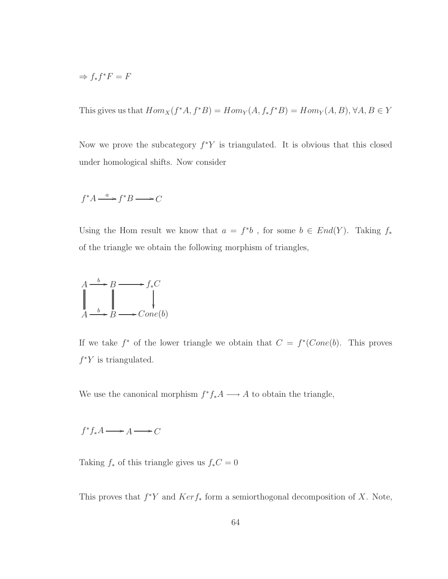$$
\Rightarrow f_* f^* F = F
$$

This gives us that  $Hom_X(f^*A, f^*B) = Hom_Y(A, f_*f^*B) = Hom_Y(A, B), \forall A, B \in Y$ 

Now we prove the subcategory  $f^*Y$  is triangulated. It is obvious that this closed under homological shifts. Now consider

$$
f^*A \xrightarrow{a} f^*B \longrightarrow C
$$

Using the Hom result we know that  $a = f^*b$ , for some  $b \in End(Y)$ . Taking  $f_*$ of the triangle we obtain the following morphism of triangles,



If we take  $f^*$  of the lower triangle we obtain that  $C = f^*(Cone(b))$ . This proves  $f^*Y$  is triangulated.

We use the canonical morphism  $f^* f_* A \longrightarrow A$  to obtain the triangle,

 $f^*f_*A \longrightarrow A \longrightarrow C$ 

Taking  $f_*$  of this triangle gives us  $f_*C = 0$ 

This proves that  $f^*Y$  and  $Ker f_*$  form a semiorthogonal decomposition of X. Note,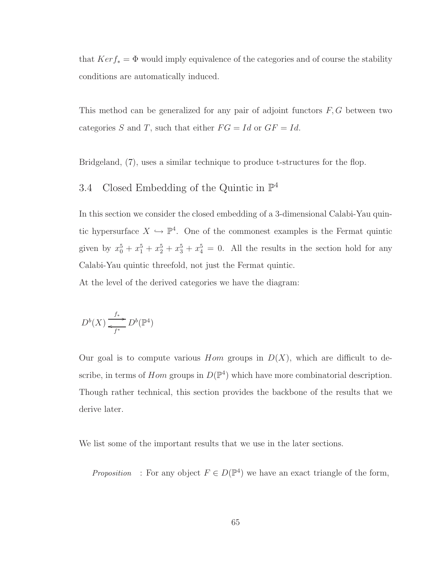that  $Ker f_* = \Phi$  would imply equivalence of the categories and of course the stability conditions are automatically induced.

This method can be generalized for any pair of adjoint functors  $F, G$  between two categories S and T, such that either  $FG = Id$  or  $GF = Id$ .

Bridgeland, [\(7](#page-97-0)), uses a similar technique to produce t-structures for the flop.

## 3.4 Closed Embedding of the Quintic in  $\mathbb{P}^4$

In this section we consider the closed embedding of a 3-dimensional Calabi-Yau quintic hypersurface  $X \hookrightarrow \mathbb{P}^4$ . One of the commonest examples is the Fermat quintic given by  $x_0^5 + x_1^5 + x_2^5 + x_3^5 + x_4^5 = 0$ . All the results in the section hold for any Calabi-Yau quintic threefold, not just the Fermat quintic. At the level of the derived categories we have the diagram:

$$
D^b(X) \xrightarrow [f^*]{f_*} D^b(\mathbb{P}^4)
$$

Our goal is to compute various *Hom* groups in  $D(X)$ , which are difficult to describe, in terms of  $Hom$  groups in  $D(\mathbb{P}^4)$  which have more combinatorial description. Though rather technical, this section provides the backbone of the results that we derive later.

We list some of the important results that we use in the later sections.

Proposition : For any object  $F \in D(\mathbb{P}^4)$  we have an exact triangle of the form,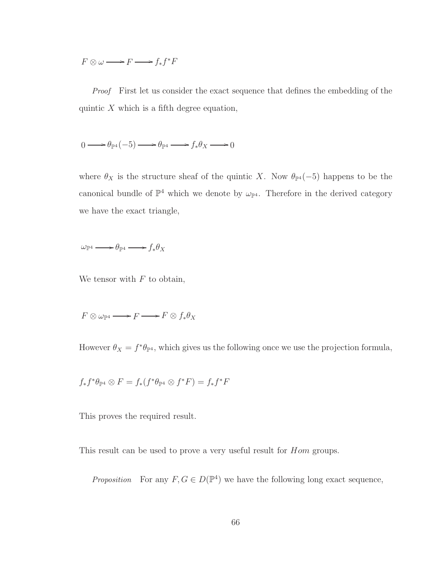$F \otimes \omega \longrightarrow F \longrightarrow f_*f^*F$ 

Proof First let us consider the exact sequence that defines the embedding of the quintic  $X$  which is a fifth degree equation,

$$
0 \longrightarrow \theta_{\mathbb{P}^4}(-5) \longrightarrow \theta_{\mathbb{P}^4} \longrightarrow f_*\theta_X \longrightarrow 0
$$

where  $\theta_X$  is the structure sheaf of the quintic X. Now  $\theta_{\mathbb{P}^4}(-5)$  happens to be the canonical bundle of  $\mathbb{P}^4$  which we denote by  $\omega_{\mathbb{P}^4}$ . Therefore in the derived category we have the exact triangle,

 $\omega_{\mathbb{P}^4} \longrightarrow \theta_{\mathbb{P}^4} \longrightarrow f_*\theta_X$ 

We tensor with  $F$  to obtain,

 $F \otimes \omega_{\mathbb{P}^4} \longrightarrow F \longrightarrow F \otimes f_* \theta_X$ 

However  $\theta_X = f^* \theta_{\mathbb{P}^4}$ , which gives us the following once we use the projection formula,

 $f_*f^*\theta_{\mathbb{P}^4}\otimes F=f_*(f^*\theta_{\mathbb{P}^4}\otimes f^*F)=f_*f^*F$ 

This proves the required result.

This result can be used to prove a very useful result for  $Hom$  groups.

*Proposition* For any  $F, G \in D(\mathbb{P}^4)$  we have the following long exact sequence,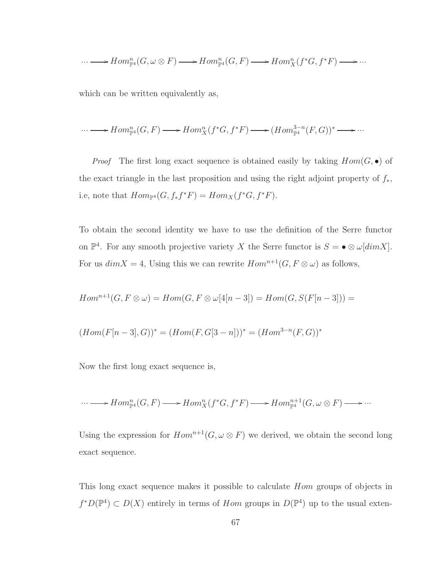$$
\cdots \longrightarrow Hom_{\mathbb{P}^{4}}^{n}(G,\omega \otimes F) \longrightarrow Hom_{\mathbb{P}^{4}}^{n}(G,F) \longrightarrow Hom_{X}^{n}(f^{*}G,f^{*}F) \longrightarrow \cdots
$$

which can be written equivalently as,

$$
\cdots \longrightarrow Hom_{\mathbb{P}^4}^n(G,F) \longrightarrow Hom_X^n(f^*G, f^*F) \longrightarrow (Hom_{\mathbb{P}^4}^{3-n}(F,G))^* \longrightarrow \cdots
$$

*Proof* The first long exact sequence is obtained easily by taking  $Hom(G, \bullet)$  of the exact triangle in the last proposition and using the right adjoint property of  $f_*$ , i.e, note that  $Hom_{\mathbb{P}^4}(G, f_*f^*F) = Hom_X(f^*G, f^*F).$ 

To obtain the second identity we have to use the definition of the Serre functor on  $\mathbb{P}^4$ . For any smooth projective variety X the Serre functor is  $S = \bullet \otimes \omega[dim X]$ . For us  $dim X = 4$ , Using this we can rewrite  $Hom^{n+1}(G, F \otimes \omega)$  as follows,

$$
Hom^{n+1}(G, F \otimes \omega) = Hom(G, F \otimes \omega[4[n-3]) = Hom(G, S(F[n-3])) =
$$

$$
(Hom(F[n-3], G))^* = (Hom(F, G[3-n]))^* = (Hom^{3-n}(F, G))^*
$$

Now the first long exact sequence is,

$$
\cdots \longrightarrow Hom_{\mathbb{P}^4}^n(G,F) \longrightarrow Hom_X^n(f^*G, f^*F) \longrightarrow Hom_{\mathbb{P}^4}^{n+1}(G,\omega \otimes F) \longrightarrow \cdots
$$

Using the expression for  $Hom^{n+1}(G, \omega \otimes F)$  we derived, we obtain the second long exact sequence.

This long exact sequence makes it possible to calculate Hom groups of objects in  $f^*D(\mathbb{P}^4) \subset D(X)$  entirely in terms of *Hom* groups in  $D(\mathbb{P}^4)$  up to the usual exten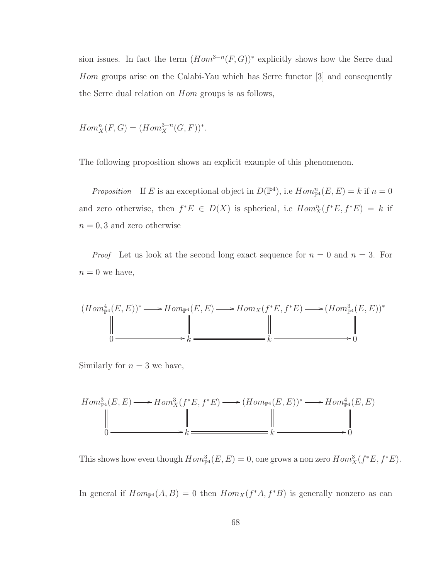sion issues. In fact the term  $(Hom^{3-n}(F, G))^*$  explicitly shows how the Serre dual Hom groups arise on the Calabi-Yau which has Serre functor [3] and consequently the Serre dual relation on Hom groups is as follows,

 $Hom_X^n(F, G) = (Hom_X^{3-n}(G, F))^*.$ 

The following proposition shows an explicit example of this phenomenon.

Proposition If E is an exceptional object in  $D(\mathbb{P}^4)$ , i.e  $Hom_{\mathbb{P}^4}^n(E,E) = k$  if  $n = 0$ and zero otherwise, then  $f^*E \in D(X)$  is spherical, i.e  $Hom_X^n(f^*E, f^*E) = k$  if  $n = 0, 3$  and zero otherwise

*Proof* Let us look at the second long exact sequence for  $n = 0$  and  $n = 3$ . For  $n = 0$  we have,

$$
(Hom_{\mathbb{P}^4}^4(E, E))^* \longrightarrow Hom_{\mathbb{P}^4}(E, E) \longrightarrow Hom_X(f^*E, f^*E) \longrightarrow (Hom_{\mathbb{P}^4}^3(E, E))^*
$$
  
\n
$$
\parallel \qquad \qquad \parallel \qquad \qquad \parallel
$$
  
\n0 \longrightarrow k \longrightarrow 0

Similarly for  $n = 3$  we have,

$$
Hom_{\mathbb{P}^4}^3(E, E) \longrightarrow Hom_X^3(f^*E, f^*E) \longrightarrow (Hom_{\mathbb{P}^4}(E, E))^* \longrightarrow Hom_{\mathbb{P}^4}^4(E, E)
$$
\n
$$
\parallel \qquad \qquad \parallel \qquad \qquad \parallel
$$
\n
$$
0 \longrightarrow k \longrightarrow 0
$$

This shows how even though  $Hom^3_{\mathbb{P}^4}(E,E) = 0$ , one grows a non zero  $Hom^3_X(f^*E, f^*E)$ .

In general if  $Hom_{\mathbb{P}^4}(A, B) = 0$  then  $Hom_X(f^*A, f^*B)$  is generally nonzero as can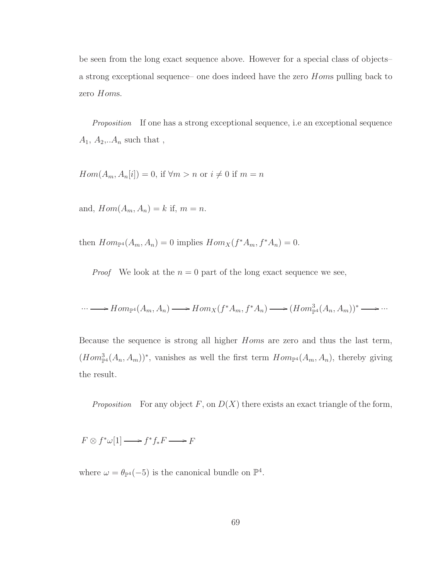be seen from the long exact sequence above. However for a special class of objects– a strong exceptional sequence– one does indeed have the zero Homs pulling back to zero Homs.

Proposition If one has a strong exceptional sequence, i.e an exceptional sequence  $A_1, A_2, A_n$  such that,

 $Hom(A_m, A_n[i]) = 0$ , if  $\forall m > n$  or  $i \neq 0$  if  $m = n$ 

and,  $Hom(A_m, A_n) = k$  if,  $m = n$ .

then  $Hom_{\mathbb{P}^4}(A_m, A_n) = 0$  implies  $Hom_X(f^*A_m, f^*A_n) = 0$ .

*Proof* We look at the  $n = 0$  part of the long exact sequence we see,

$$
\cdots \longrightarrow Hom_{\mathbb{P}^4}(A_m, A_n) \longrightarrow Hom_X(f^*A_m, f^*A_n) \longrightarrow (Hom^3_{\mathbb{P}^4}(A_n, A_m))^* \longrightarrow \cdots
$$

Because the sequence is strong all higher Homs are zero and thus the last term,  $(Hom_{\mathbb{P}^4}^3(A_n, A_m))^*$ , vanishes as well the first term  $Hom_{\mathbb{P}^4}(A_m, A_n)$ , thereby giving the result.

Proposition For any object F, on  $D(X)$  there exists an exact triangle of the form,

 $F \otimes f^* \omega[1] \longrightarrow f^* f_* F \longrightarrow F$ 

where  $\omega = \theta_{\mathbb{P}^4}(-5)$  is the canonical bundle on  $\mathbb{P}^4$ .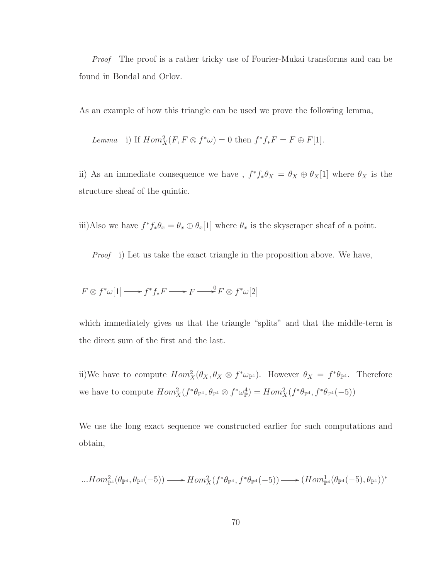Proof The proof is a rather tricky use of Fourier-Mukai transforms and can be found in Bondal and Orlov.

As an example of how this triangle can be used we prove the following lemma,

Lemma i) If  $Hom_X^2(F, F \otimes f^* \omega) = 0$  then  $f^* f_* F = F \oplus F[1]$ .

ii) As an immediate consequence we have ,  $f^* f_* \theta_X = \theta_X \oplus \theta_X[1]$  where  $\theta_X$  is the structure sheaf of the quintic.

iii)Also we have  $f^* f_* \theta_x = \theta_x \oplus \theta_x[1]$  where  $\theta_x$  is the skyscraper sheaf of a point.

Proof i) Let us take the exact triangle in the proposition above. We have,

$$
F \otimes f^* \omega[1] \longrightarrow f^* f_* F \longrightarrow F \longrightarrow^0 F \otimes f^* \omega[2]
$$

which immediately gives us that the triangle "splits" and that the middle-term is the direct sum of the first and the last.

ii)We have to compute  $Hom_X^2(\theta_X, \theta_X \otimes f^* \omega_{\mathbb{P}^4})$ . However  $\theta_X = f^* \theta_{\mathbb{P}^4}$ . Therefore we have to compute  $Hom_X^2(f^*\theta_{\mathbb{P}^4}, \theta_{\mathbb{P}^4} \otimes f^*\omega_{\mathbb{P}}^4) = Hom_X^2(f^*\theta_{\mathbb{P}^4}, f^*\theta_{\mathbb{P}^4}(-5))$ 

We use the long exact sequence we constructed earlier for such computations and obtain,

$$
...Hom_{\mathbb{P}^4}^2(\theta_{\mathbb{P}^4},\theta_{\mathbb{P}^4}(-5))\longrightarrow Hom_X^2(f^*\theta_{\mathbb{P}^4},f^*\theta_{\mathbb{P}^4}(-5))\longrightarrow (Hom_{\mathbb{P}^4}^1(\theta_{\mathbb{P}^4}(-5),\theta_{\mathbb{P}^4}))^*
$$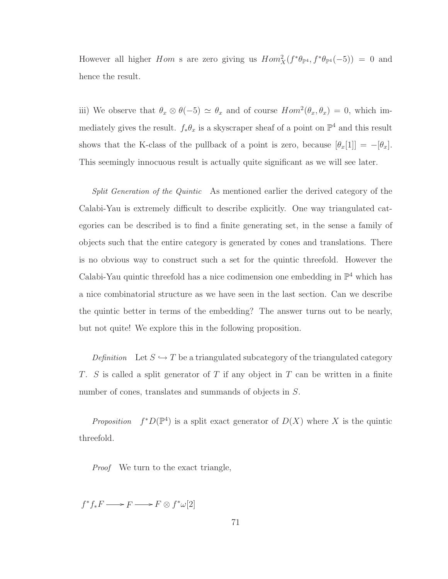However all higher *Hom* s are zero giving us  $Hom_X^2(f^*\theta_{\mathbb{P}^4}, f^*\theta_{\mathbb{P}^4}(-5)) = 0$  and hence the result.

iii) We observe that  $\theta_x \otimes \theta(-5) \simeq \theta_x$  and of course  $Hom^2(\theta_x, \theta_x) = 0$ , which immediately gives the result.  $f_*\theta_x$  is a skyscraper sheaf of a point on  $\mathbb{P}^4$  and this result shows that the K-class of the pullback of a point is zero, because  $[\theta_x[1]] = -[\theta_x]$ . This seemingly innocuous result is actually quite significant as we will see later.

Split Generation of the Quintic As mentioned earlier the derived category of the Calabi-Yau is extremely difficult to describe explicitly. One way triangulated categories can be described is to find a finite generating set, in the sense a family of objects such that the entire category is generated by cones and translations. There is no obvious way to construct such a set for the quintic threefold. However the Calabi-Yau quintic threefold has a nice codimension one embedding in  $\mathbb{P}^4$  which has a nice combinatorial structure as we have seen in the last section. Can we describe the quintic better in terms of the embedding? The answer turns out to be nearly, but not quite! We explore this in the following proposition.

Definition Let  $S \hookrightarrow T$  be a triangulated subcategory of the triangulated category  $T.$  S is called a split generator of  $T$  if any object in  $T$  can be written in a finite number of cones, translates and summands of objects in  $S$ .

*Proposition*  $f^*D(\mathbb{P}^4)$  is a split exact generator of  $D(X)$  where X is the quintic threefold.

Proof We turn to the exact triangle,

 $f^*f_*F \longrightarrow F \longrightarrow F \otimes f^*\omega[2]$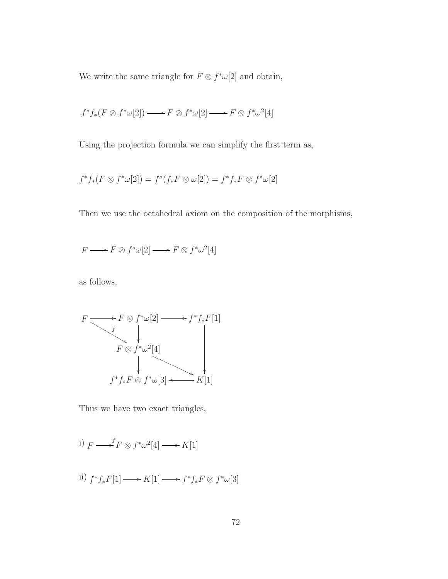We write the same triangle for  $F \otimes f^* \omega[2]$  and obtain,

$$
f^* f_* (F \otimes f^* \omega[2]) \longrightarrow F \otimes f^* \omega[2] \longrightarrow F \otimes f^* \omega^2[4]
$$

Using the projection formula we can simplify the first term as,

$$
f^* f_* (F \otimes f^* \omega[2]) = f^* (f_* F \otimes \omega[2]) = f^* f_* F \otimes f^* \omega[2]
$$

Then we use the octahedral axiom on the composition of the morphisms,

$$
F \longrightarrow F \otimes f^* \omega[2] \longrightarrow F \otimes f^* \omega^2[4]
$$

as follows,

$$
F \longrightarrow F \otimes f^* \omega[2] \longrightarrow f^* f_* F[1]
$$
  
\n
$$
F \otimes f^* \omega^2[4]
$$
  
\n
$$
f^* f_* F \otimes f^* \omega[3] \longleftarrow K[1]
$$

Thus we have two exact triangles,

i) 
$$
F \longrightarrow^f F \otimes f^* \omega^2[4] \longrightarrow K[1]
$$

ii) 
$$
f^* f_* F[1] \longrightarrow K[1] \longrightarrow f^* f_* F \otimes f^* \omega[3]
$$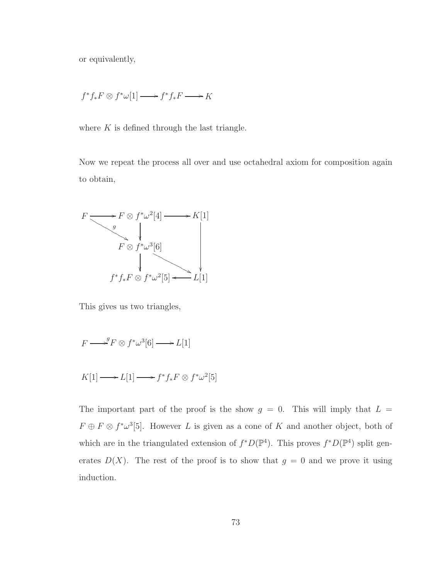or equivalently,

$$
f^*f_*F \otimes f^*\omega[1] \longrightarrow f^*f_*F \longrightarrow K
$$

where  $K$  is defined through the last triangle.

Now we repeat the process all over and use octahedral axiom for composition again to obtain,



This gives us two triangles,

$$
F \longrightarrow^g F \otimes f^* \omega^3[6] \longrightarrow L[1]
$$

$$
K[1] \longrightarrow L[1] \longrightarrow f^* f_* F \otimes f^* \omega^2[5]
$$

The important part of the proof is the show  $g = 0$ . This will imply that  $L =$  $F \oplus F \otimes f^* \omega^3[5]$ . However L is given as a cone of K and another object, both of which are in the triangulated extension of  $f^*D(\mathbb{P}^4)$ . This proves  $f^*D(\mathbb{P}^4)$  split generates  $D(X)$ . The rest of the proof is to show that  $g = 0$  and we prove it using induction.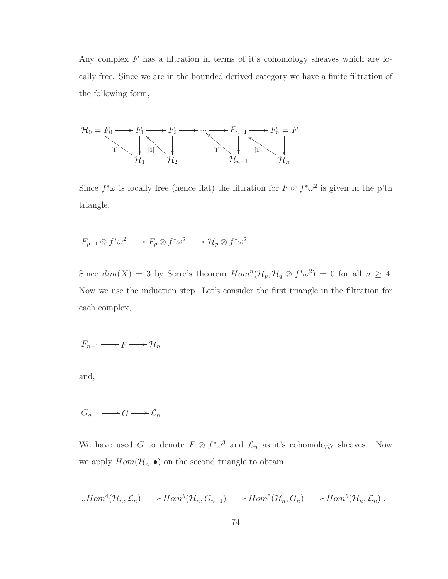Any complex  $F$  has a filtration in terms of it's cohomology sheaves which are locally free. Since we are in the bounded derived category we have a finite filtration of the following form,



Since  $f^*\omega$  is locally free (hence flat) the filtration for  $F \otimes f^*\omega^2$  is given in the p'th triangle,

$$
F_{p-1}\otimes f^*\omega^2 \longrightarrow F_p\otimes f^*\omega^2 \longrightarrow \mathcal{H}_p\otimes f^*\omega^2
$$

Since  $dim(X) = 3$  by Serre's theorem  $Hom<sup>n</sup>(\mathcal{H}_p, \mathcal{H}_q \otimes f^*\omega^2) = 0$  for all  $n \geq 4$ . Now we use the induction step. Let's consider the first triangle in the filtration for each complex,

$$
F_{n-1} \longrightarrow F \longrightarrow \mathcal{H}_n
$$

and,

$$
G_{n-1} \longrightarrow G \longrightarrow \mathcal{L}_n
$$

We have used G to denote  $F \otimes f^* \omega^3$  and  $\mathcal{L}_n$  as it's cohomology sheaves. Now we apply  $Hom(\mathcal{H}_n, \bullet)$  on the second triangle to obtain,

$$
...Hom^4(\mathcal{H}_n,\mathcal{L}_n)\longrightarrow Hom^5(\mathcal{H}_n,G_{n-1})\longrightarrow Hom^5(\mathcal{H}_n,G_n)\longrightarrow Hom^5(\mathcal{H}_n,\mathcal{L}_n).
$$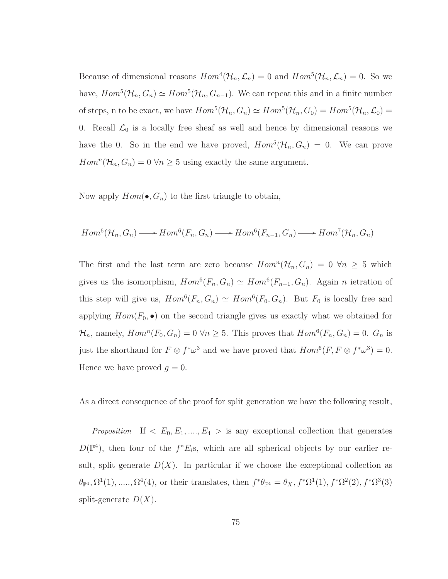Because of dimensional reasons  $Hom^4(\mathcal{H}_n, \mathcal{L}_n) = 0$  and  $Hom^5(\mathcal{H}_n, \mathcal{L}_n) = 0$ . So we have,  $Hom^5(\mathcal{H}_n, G_n) \simeq Hom^5(\mathcal{H}_n, G_{n-1})$ . We can repeat this and in a finite number of steps, n to be exact, we have  $Hom^5(\mathcal{H}_n, G_n) \simeq Hom^5(\mathcal{H}_n, G_0) = Hom^5(\mathcal{H}_n, \mathcal{L}_0) =$ 0. Recall  $\mathcal{L}_0$  is a locally free sheaf as well and hence by dimensional reasons we have the 0. So in the end we have proved,  $Hom^5(\mathcal{H}_n, G_n) = 0$ . We can prove  $Hom<sup>n</sup>(\mathcal{H}_n, G_n) = 0 \ \forall n \geq 5$  using exactly the same argument.

Now apply  $Hom(\bullet, G_n)$  to the first triangle to obtain,

$$
Hom^6(\mathcal{H}_n, G_n) \longrightarrow Hom^6(F_n, G_n) \longrightarrow Hom^6(F_{n-1}, G_n) \longrightarrow Hom^7(\mathcal{H}_n, G_n)
$$

The first and the last term are zero because  $Hom<sup>n</sup>(\mathcal{H}_n, G_n) = 0 \ \forall n \geq 5$  which gives us the isomorphism,  $Hom^6(F_n, G_n) \simeq Hom^6(F_{n-1}, G_n)$ . Again *n* ietration of this step will give us,  $Hom^6(F_n, G_n) \simeq Hom^6(F_0, G_n)$ . But  $F_0$  is locally free and applying  $Hom(F_0, \bullet)$  on the second triangle gives us exactly what we obtained for  $\mathcal{H}_n$ , namely,  $Hom^n(F_0, G_n) = 0 \,\forall n \geq 5$ . This proves that  $Hom^6(F_n, G_n) = 0$ .  $G_n$  is just the shorthand for  $F \otimes f^* \omega^3$  and we have proved that  $Hom^6(F, F \otimes f^* \omega^3) = 0$ . Hence we have proved  $q=0$ .

As a direct consequence of the proof for split generation we have the following result,

Proposition If  $\langle E_0, E_1, ..., E_4 \rangle$  is any exceptional collection that generates  $D(\mathbb{P}^4)$ , then four of the  $f^*E_i$ s, which are all spherical objects by our earlier result, split generate  $D(X)$ . In particular if we choose the exceptional collection as  $\theta_{\mathbb{P}^4}$ ,  $\Omega^1(1), \ldots, \Omega^4(4)$ , or their translates, then  $f^*\theta_{\mathbb{P}^4} = \theta_X$ ,  $f^*\Omega^1(1)$ ,  $f^*\Omega^2(2)$ ,  $f^*\Omega^3(3)$ split-generate  $D(X)$ .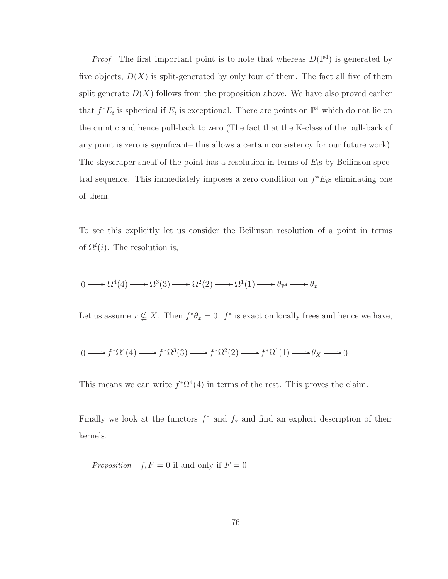*Proof* The first important point is to note that whereas  $D(\mathbb{P}^4)$  is generated by five objects,  $D(X)$  is split-generated by only four of them. The fact all five of them split generate  $D(X)$  follows from the proposition above. We have also proved earlier that  $f^*E_i$  is spherical if  $E_i$  is exceptional. There are points on  $\mathbb{P}^4$  which do not lie on the quintic and hence pull-back to zero (The fact that the K-class of the pull-back of any point is zero is significant– this allows a certain consistency for our future work). The skyscraper sheaf of the point has a resolution in terms of  $E_i$ s by Beilinson spectral sequence. This immediately imposes a zero condition on  $f^*E_i$ s eliminating one of them.

To see this explicitly let us consider the Beilinson resolution of a point in terms of  $\Omega^{i}(i)$ . The resolution is,

$$
0 \longrightarrow \Omega^4(4) \longrightarrow \Omega^3(3) \longrightarrow \Omega^2(2) \longrightarrow \Omega^1(1) \longrightarrow \theta_{\mathbb{P}^4} \longrightarrow \theta_x
$$

Let us assume  $x \nsubseteq X$ . Then  $f^*\theta_x = 0$ .  $f^*$  is exact on locally frees and hence we have,

$$
0 \longrightarrow f^*\Omega^4(4) \longrightarrow f^*\Omega^3(3) \longrightarrow f^*\Omega^2(2) \longrightarrow f^*\Omega^1(1) \longrightarrow \theta_X \longrightarrow 0
$$

This means we can write  $f^*\Omega^4(4)$  in terms of the rest. This proves the claim.

Finally we look at the functors  $f^*$  and  $f_*$  and find an explicit description of their kernels.

*Proposition*  $f_*F = 0$  if and only if  $F = 0$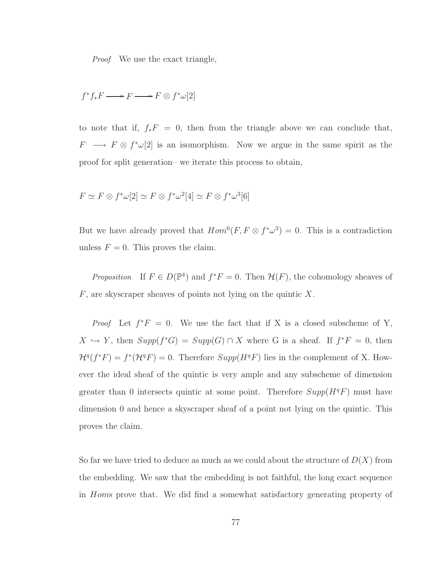Proof We use the exact triangle,

$$
f^*f_*F \mathchoice{\longrightarrow}{\rightarrow}{\rightarrow}{\rightarrow} F \mathchoice{\longrightarrow}{\rightarrow}{\rightarrow}{\rightarrow} F \otimes f^*\omega[2]
$$

to note that if,  $f_*F = 0$ , then from the triangle above we can conclude that,  $F \longrightarrow F \otimes f^* \omega[2]$  is an isomorphism. Now we argue in the same spirit as the proof for split generation– we iterate this process to obtain,

$$
F \simeq F \otimes f^* \omega[2] \simeq F \otimes f^* \omega^2[4] \simeq F \otimes f^* \omega^3[6]
$$

But we have already proved that  $Hom^6(F, F \otimes f^* \omega^3) = 0$ . This is a contradiction unless  $F = 0$ . This proves the claim.

*Proposition* If  $F \in D(\mathbb{P}^4)$  and  $f^*F = 0$ . Then  $\mathcal{H}(F)$ , the cohomology sheaves of  $F$ , are skyscraper sheaves of points not lying on the quintic X.

*Proof* Let  $f^*F = 0$ . We use the fact that if X is a closed subscheme of Y,  $X \hookrightarrow Y$ , then  $Supp(f^*G) = Supp(G) \cap X$  where G is a sheaf. If  $f^*F = 0$ , then  $\mathcal{H}^q(f^*F) = f^*(\mathcal{H}^qF) = 0$ . Therefore  $Supp(H^qF)$  lies in the complement of X. However the ideal sheaf of the quintic is very ample and any subscheme of dimension greater than 0 intersects quintic at some point. Therefore  $Supp(H^qF)$  must have dimension 0 and hence a skyscraper sheaf of a point not lying on the quintic. This proves the claim.

So far we have tried to deduce as much as we could about the structure of  $D(X)$  from the embedding. We saw that the embedding is not faithful, the long exact sequence in Homs prove that. We did find a somewhat satisfactory generating property of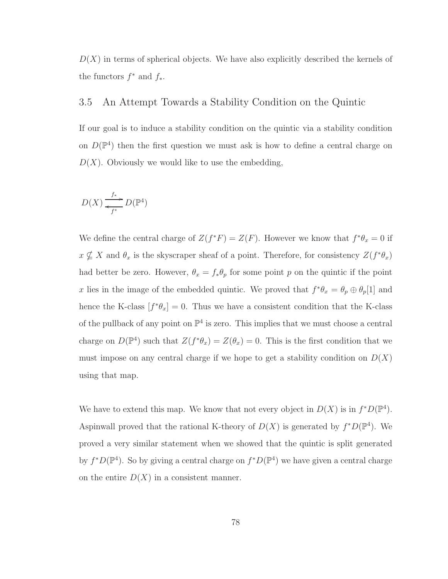$D(X)$  in terms of spherical objects. We have also explicitly described the kernels of the functors  $f^*$  and  $f_*$ .

## 3.5 An Attempt Towards a Stability Condition on the Quintic

If our goal is to induce a stability condition on the quintic via a stability condition on  $D(\mathbb{P}^4)$  then the first question we must ask is how to define a central charge on  $D(X)$ . Obviously we would like to use the embedding,

$$
D(X) \xrightarrow{f_*} D(\mathbb{P}^4)
$$

We define the central charge of  $Z(f^*F) = Z(F)$ . However we know that  $f^*\theta_x = 0$  if  $x \nsubseteq X$  and  $\theta_x$  is the skyscraper sheaf of a point. Therefore, for consistency  $Z(f^*\theta_x)$ had better be zero. However,  $\theta_x = f_* \theta_p$  for some point p on the quintic if the point x lies in the image of the embedded quintic. We proved that  $f^*\theta_x = \theta_p \oplus \theta_p[1]$  and hence the K-class  $[f^*\theta_x] = 0$ . Thus we have a consistent condition that the K-class of the pullback of any point on  $\mathbb{P}^4$  is zero. This implies that we must choose a central charge on  $D(\mathbb{P}^4)$  such that  $Z(f^*\theta_x) = Z(\theta_x) = 0$ . This is the first condition that we must impose on any central charge if we hope to get a stability condition on  $D(X)$ using that map.

We have to extend this map. We know that not every object in  $D(X)$  is in  $f^*D(\mathbb{P}^4)$ . Aspinwall proved that the rational K-theory of  $D(X)$  is generated by  $f^*D(\mathbb{P}^4)$ . We proved a very similar statement when we showed that the quintic is split generated by  $f^*D(\mathbb{P}^4)$ . So by giving a central charge on  $f^*D(\mathbb{P}^4)$  we have given a central charge on the entire  $D(X)$  in a consistent manner.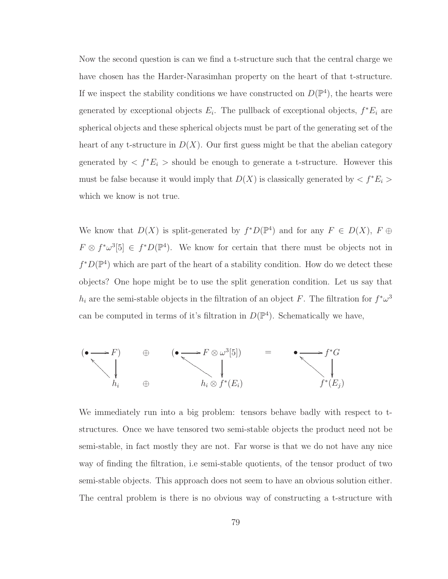Now the second question is can we find a t-structure such that the central charge we have chosen has the Harder-Narasimhan property on the heart of that t-structure. If we inspect the stability conditions we have constructed on  $D(\mathbb{P}^4)$ , the hearts were generated by exceptional objects  $E_i$ . The pullback of exceptional objects,  $f^*E_i$  are spherical objects and these spherical objects must be part of the generating set of the heart of any t-structure in  $D(X)$ . Our first guess might be that the abelian category generated by  $\langle f^*E_i \rangle$  should be enough to generate a t-structure. However this must be false because it would imply that  $D(X)$  is classically generated by  $\langle f^*E_i \rangle$ which we know is not true.

We know that  $D(X)$  is split-generated by  $f^*D(\mathbb{P}^4)$  and for any  $F \in D(X)$ ,  $F \oplus$  $F \otimes f^* \omega^3[5] \in f^*D(\mathbb{P}^4)$ . We know for certain that there must be objects not in  $f^*D(\mathbb{P}^4)$  which are part of the heart of a stability condition. How do we detect these objects? One hope might be to use the split generation condition. Let us say that  $h_i$  are the semi-stable objects in the filtration of an object F. The filtration for  $f^*\omega^3$ can be computed in terms of it's filtration in  $D(\mathbb{P}^4)$ . Schematically we have,



We immediately run into a big problem: tensors behave badly with respect to tstructures. Once we have tensored two semi-stable objects the product need not be semi-stable, in fact mostly they are not. Far worse is that we do not have any nice way of finding the filtration, i.e semi-stable quotients, of the tensor product of two semi-stable objects. This approach does not seem to have an obvious solution either. The central problem is there is no obvious way of constructing a t-structure with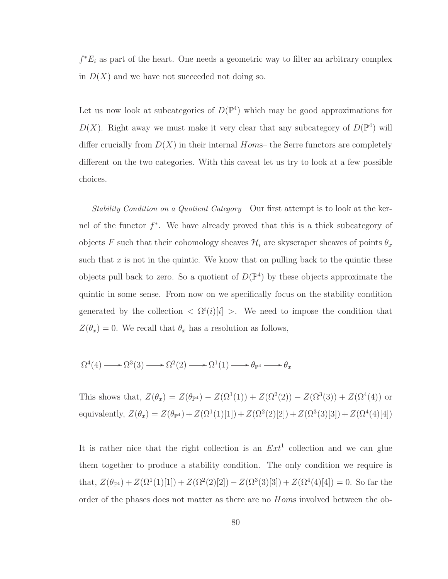$f^*E_i$  as part of the heart. One needs a geometric way to filter an arbitrary complex in  $D(X)$  and we have not succeeded not doing so.

Let us now look at subcategories of  $D(\mathbb{P}^4)$  which may be good approximations for  $D(X)$ . Right away we must make it very clear that any subcategory of  $D(\mathbb{P}^4)$  will differ crucially from  $D(X)$  in their internal Homs– the Serre functors are completely different on the two categories. With this caveat let us try to look at a few possible choices.

Stability Condition on a Quotient Category Our first attempt is to look at the kernel of the functor  $f^*$ . We have already proved that this is a thick subcategory of objects F such that their cohomology sheaves  $\mathcal{H}_i$  are skyscraper sheaves of points  $\theta_x$ such that  $x$  is not in the quintic. We know that on pulling back to the quintic these objects pull back to zero. So a quotient of  $D(\mathbb{P}^4)$  by these objects approximate the quintic in some sense. From now on we specifically focus on the stability condition generated by the collection  $\langle \Omega^i(i)[i] \rangle$ . We need to impose the condition that  $Z(\theta_x) = 0$ . We recall that  $\theta_x$  has a resolution as follows,

$$
\Omega^4(4) \longrightarrow \Omega^3(3) \longrightarrow \Omega^2(2) \longrightarrow \Omega^1(1) \longrightarrow \theta_{\mathbb{P}^4} \longrightarrow \theta_x
$$

This shows that,  $Z(\theta_x) = Z(\theta_{\mathbb{P}^4}) - Z(\Omega^1(1)) + Z(\Omega^2(2)) - Z(\Omega^3(3)) + Z(\Omega^4(4))$  or equivalently,  $Z(\theta_x) = Z(\theta_{\mathbb{P}^4}) + Z(\Omega^1(1)[1]) + Z(\Omega^2(2)[2]) + Z(\Omega^3(3)[3]) + Z(\Omega^4(4)[4])$ 

It is rather nice that the right collection is an  $Ext<sup>1</sup>$  collection and we can glue them together to produce a stability condition. The only condition we require is that,  $Z(\theta_{\mathbb{P}^4}) + Z(\Omega^1(1)[1]) + Z(\Omega^2(2)[2]) - Z(\Omega^3(3)[3]) + Z(\Omega^4(4)[4]) = 0$ . So far the order of the phases does not matter as there are no Homs involved between the ob-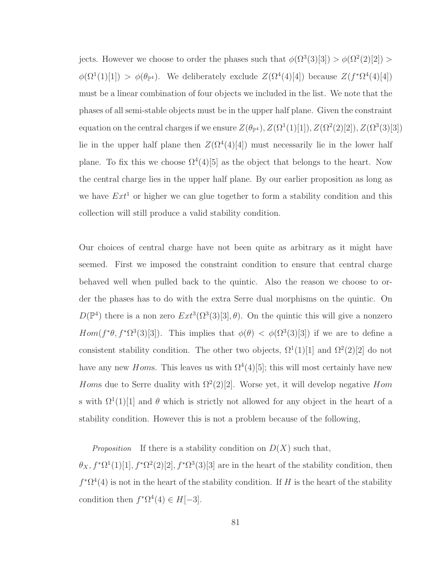jects. However we choose to order the phases such that  $\phi(\Omega^3(3)[3]) > \phi(\Omega^2(2)[2]) >$  $\phi(\Omega^1(1)[1]) > \phi(\theta_{\mathbb{P}^4})$ . We deliberately exclude  $Z(\Omega^4(4)[4])$  because  $Z(f^*\Omega^4(4)[4])$ must be a linear combination of four objects we included in the list. We note that the phases of all semi-stable objects must be in the upper half plane. Given the constraint equation on the central charges if we ensure  $Z(\theta_{\mathbb{P}^4})$ ,  $Z(\Omega^1(1)[1])$ ,  $Z(\Omega^2(2)[2])$ ,  $Z(\Omega^3(3)[3])$ lie in the upper half plane then  $Z(\Omega^4(4)[4])$  must necessarily lie in the lower half plane. To fix this we choose  $\Omega^4(4)[5]$  as the object that belongs to the heart. Now the central charge lies in the upper half plane. By our earlier proposition as long as we have  $Ext<sup>1</sup>$  or higher we can glue together to form a stability condition and this collection will still produce a valid stability condition.

Our choices of central charge have not been quite as arbitrary as it might have seemed. First we imposed the constraint condition to ensure that central charge behaved well when pulled back to the quintic. Also the reason we choose to order the phases has to do with the extra Serre dual morphisms on the quintic. On  $D(\mathbb{P}^4)$  there is a non zero  $Ext^3(\Omega^3(3)[3], \theta)$ . On the quintic this will give a nonzero  $Hom(f^*\theta, f^*\Omega^3(3)[3])$ . This implies that  $\phi(\theta) < \phi(\Omega^3(3)[3])$  if we are to define a consistent stability condition. The other two objects,  $\Omega^1(1)[1]$  and  $\Omega^2(2)[2]$  do not have any new *Homs*. This leaves us with  $\Omega^4(4)[5]$ ; this will most certainly have new Homs due to Serre duality with  $\Omega^2(2)[2]$ . Worse yet, it will develop negative Hom s with  $\Omega^1(1)[1]$  and  $\theta$  which is strictly not allowed for any object in the heart of a stability condition. However this is not a problem because of the following,

Proposition If there is a stability condition on  $D(X)$  such that,

 $\theta_X, f^*\Omega^1(1)[1], f^*\Omega^2(2)[2], f^*\Omega^3(3)[3]$  are in the heart of the stability condition, then  $f^*\Omega^4(4)$  is not in the heart of the stability condition. If H is the heart of the stability condition then  $f^*\Omega^4(4) \in H[-3]$ .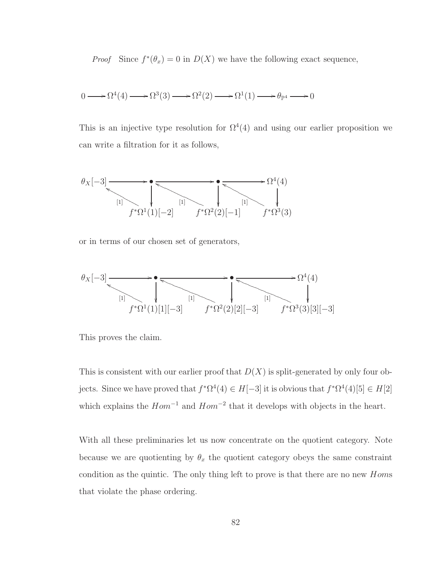*Proof* Since  $f^*(\theta_x) = 0$  in  $D(X)$  we have the following exact sequence,

$$
0 \longrightarrow \Omega^4(4) \longrightarrow \Omega^3(3) \longrightarrow \Omega^2(2) \longrightarrow \Omega^1(1) \longrightarrow \theta_{\mathbb{P}^4} \longrightarrow 0
$$

This is an injective type resolution for  $\Omega^4(4)$  and using our earlier proposition we can write a filtration for it as follows,

θ<sup>X</sup> [−3] /• /• / Ω 4 (4) f ∗Ω 1 (1)[−2] [1] <sup>f</sup>NNNNNNNNNNN f ∗Ω 2 (2)[−1] [1] <sup>h</sup>PPPPPPPPPPPPPPP f ∗Ω 3 (3) [1] <sup>g</sup>NNNNNNNNNNNNN

or in terms of our chosen set of generators,

$$
\theta_X[-3]
$$
  $\longrightarrow$   $\theta_X[-3]$   $\longrightarrow$   $\theta_X[4]$   $\longrightarrow$   $\theta_X[1]$   $\longrightarrow$   $\theta_X[1]$   $\longrightarrow$   $\theta_X[1]$   $\longrightarrow$   $\theta_X[2]$   $\theta_X[3]$   $\theta_X[4]$   $\longrightarrow$   $\theta_X[4]$   $\longrightarrow$   $\theta_X[4]$   $\longrightarrow$   $\theta_X[4]$   $\longrightarrow$   $\theta_X[4]$   $\longrightarrow$   $\theta_X[3]$   $\cap$   $\theta_X[4]$   $\longrightarrow$   $\theta_X[4]$   $\longrightarrow$   $\theta_X[4]$   $\longrightarrow$   $\theta_X[4]$   $\longrightarrow$   $\theta_X[4]$   $\longrightarrow$   $\theta_X[4]$   $\longrightarrow$   $\theta_X[4]$   $\longrightarrow$   $\theta_X[4]$   $\longrightarrow$   $\theta_X[4]$   $\longrightarrow$   $\theta_X[5]$   $\longrightarrow$   $\theta_X[6]$   $\longrightarrow$   $\theta_X[7]$   $\longrightarrow$   $\theta_X[6]$   $\longrightarrow$   $\theta_X[7]$   $\longrightarrow$   $\theta_X[7]$   $\longrightarrow$   $\theta_X[8]$   $\longrightarrow$   $\theta_X[9]$   $\longrightarrow$   $\theta_X[1]$   $\longrightarrow$   $\theta_X[1]$   $\longrightarrow$   $\theta_X[1]$   $\longrightarrow$   $\theta_X[1]$   $\longrightarrow$   $\theta_X[1]$   $\longrightarrow$   $\theta_X[1]$   $\longrightarrow$   $\theta_X[2]$   $\longrightarrow$   $\theta_X[3]$   $\longrightarrow$   $\theta_X[4]$   $\longrightarrow$   $\theta_X[3]$   $\longrightarrow$   $\theta_X[4]$   $\longrightarrow$   $\theta_X[4]$   $\longrightarrow$   $\theta_X[4]$   $\longrightarrow$   $\theta_X[3]$   $\longrightarrow$   $\theta_X[4]$   $\longrightarrow$ 

This proves the claim.

This is consistent with our earlier proof that  $D(X)$  is split-generated by only four objects. Since we have proved that  $f^*\Omega^4(4) \in H[-3]$  it is obvious that  $f^*\Omega^4(4)[5] \in H[2]$ which explains the  $Hom^{-1}$  and  $Hom^{-2}$  that it develops with objects in the heart.

With all these preliminaries let us now concentrate on the quotient category. Note because we are quotienting by  $\theta_x$  the quotient category obeys the same constraint condition as the quintic. The only thing left to prove is that there are no new Homs that violate the phase ordering.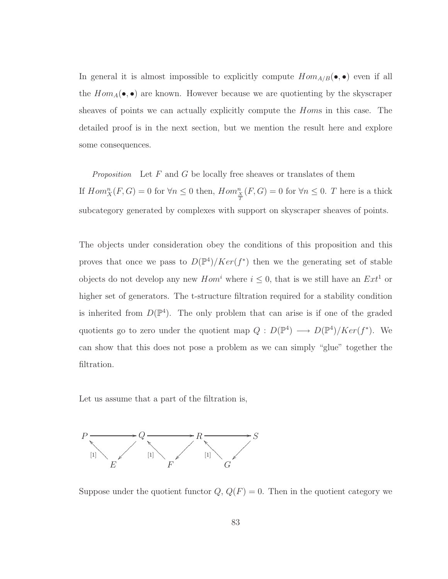In general it is almost impossible to explicitly compute  $Hom_{A/B}(\bullet, \bullet)$  even if all the  $Hom_A(\bullet, \bullet)$  are known. However because we are quotienting by the skyscraper sheaves of points we can actually explicitly compute the Homs in this case. The detailed proof is in the next section, but we mention the result here and explore some consequences.

Proposition Let  $F$  and  $G$  be locally free sheaves or translates of them If  $Hom_X^n(F, G) = 0$  for  $\forall n \leq 0$  then,  $Hom_{\frac{X}{T}}^n(F, G) = 0$  for  $\forall n \leq 0$ . T here is a thick subcategory generated by complexes with support on skyscraper sheaves of points.

The objects under consideration obey the conditions of this proposition and this proves that once we pass to  $D(\mathbb{P}^4)/Ker(f^*)$  then we the generating set of stable objects do not develop any new  $Hom<sup>i</sup>$  where  $i \leq 0$ , that is we still have an  $Ext<sup>1</sup>$  or higher set of generators. The t-structure filtration required for a stability condition is inherited from  $D(\mathbb{P}^4)$ . The only problem that can arise is if one of the graded quotients go to zero under the quotient map  $Q: D(\mathbb{P}^4) \longrightarrow D(\mathbb{P}^4)/Ker(f^*)$ . We can show that this does not pose a problem as we can simply "glue" together the filtration.

Let us assume that a part of the filtration is,



Suppose under the quotient functor  $Q, Q(F) = 0$ . Then in the quotient category we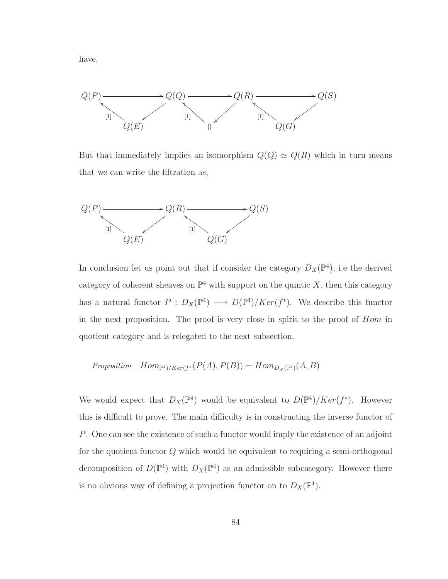have,



But that immediately implies an isomorphism  $Q(Q) \simeq Q(R)$  which in turn means that we can write the filtration as,



In conclusion let us point out that if consider the category  $D_X(\mathbb{P}^4)$ , i.e the derived category of coherent sheaves on  $\mathbb{P}^4$  with support on the quintic X, then this category has a natural functor  $P: D_X(\mathbb{P}^4) \longrightarrow D(\mathbb{P}^4)/Ker(f^*)$ . We describe this functor in the next proposition. The proof is very close in spirit to the proof of Hom in quotient category and is relegated to the next subsection.

$$
Proposition \quad Hom_{\mathbb{P}^4)/Ker(f^*}(P(A), P(B)) = Hom_{D_X(\mathbb{P}^4)}(A, B)
$$

We would expect that  $D_X(\mathbb{P}^4)$  would be equivalent to  $D(\mathbb{P}^4)/Ker(f^*)$ . However this is difficult to prove. The main difficulty is in constructing the inverse functor of P. One can see the existence of such a functor would imply the existence of an adjoint for the quotient functor Q which would be equivalent to requiring a semi-orthogonal decomposition of  $D(\mathbb{P}^4)$  with  $D_X(\mathbb{P}^4)$  as an admissible subcategory. However there is no obvious way of defining a projection functor on to  $D_X(\mathbb{P}^4)$ .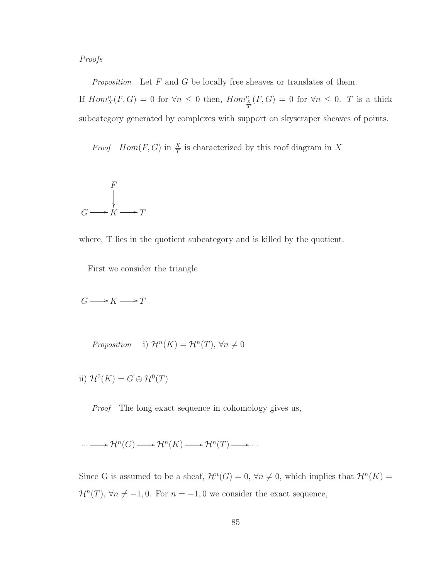Proofs

Proposition Let  $F$  and  $G$  be locally free sheaves or translates of them. If  $Hom_X^n(F, G) = 0$  for  $\forall n \leq 0$  then,  $Hom_{\frac{X}{T}}^n(F, G) = 0$  for  $\forall n \leq 0$ . T is a thick subcategory generated by complexes with support on skyscraper sheaves of points.

*Proof*  $Hom(F, G)$  in  $\frac{X}{T}$  is characterized by this roof diagram in X

$$
\begin{array}{ccc}\n & & F \\
& & \downarrow \\
G & \longrightarrow K & \longrightarrow T\n\end{array}
$$

where, T lies in the quotient subcategory and is killed by the quotient.

First we consider the triangle

 $G \longrightarrow K \longrightarrow T$ 

Proposition i)  $\mathcal{H}^n(K) = \mathcal{H}^n(T)$ ,  $\forall n \neq 0$ 

ii)  $\mathcal{H}^0(K) = G \oplus \mathcal{H}^0(T)$ 

Proof The long exact sequence in cohomology gives us,

$$
\cdots \longrightarrow \mathcal{H}^n(G) \longrightarrow \mathcal{H}^n(K) \longrightarrow \mathcal{H}^n(T) \longrightarrow \cdots
$$

Since G is assumed to be a sheaf,  $\mathcal{H}^n(G) = 0$ ,  $\forall n \neq 0$ , which implies that  $\mathcal{H}^n(K) =$  $\mathcal{H}^n(T)$ ,  $\forall n \neq -1, 0$ . For  $n = -1, 0$  we consider the exact sequence,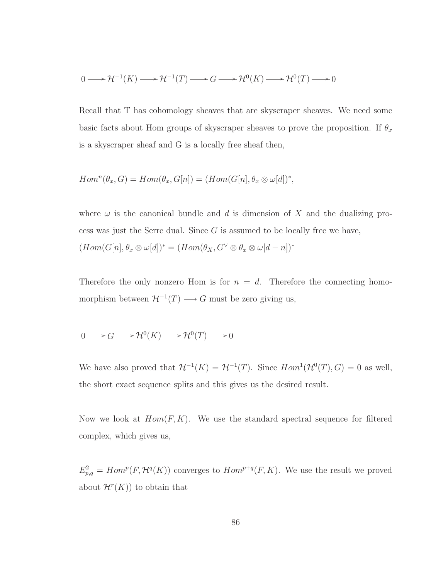$$
0 \longrightarrow \mathcal{H}^{-1}(K) \longrightarrow \mathcal{H}^{-1}(T) \longrightarrow G \longrightarrow \mathcal{H}^{0}(K) \longrightarrow \mathcal{H}^{0}(T) \longrightarrow 0
$$

Recall that T has cohomology sheaves that are skyscraper sheaves. We need some basic facts about Hom groups of skyscraper sheaves to prove the proposition. If  $\theta_x$ is a skyscraper sheaf and G is a locally free sheaf then,

$$
Homn(\theta_x, G) = Hom(\theta_x, G[n]) = (Hom(G[n], \theta_x \otimes \omega[d])^*,
$$

where  $\omega$  is the canonical bundle and d is dimension of X and the dualizing process was just the Serre dual. Since  $G$  is assumed to be locally free we have,  $(Hom(G[n], \theta_x \otimes \omega[d])^* = (Hom(\theta_X, G^{\vee} \otimes \theta_x \otimes \omega[d - n])^*$ 

Therefore the only nonzero Hom is for  $n = d$ . Therefore the connecting homomorphism between  $\mathcal{H}^{-1}(T) \longrightarrow G$  must be zero giving us,

$$
0 \longrightarrow G \longrightarrow \mathcal{H}^0(K) \longrightarrow \mathcal{H}^0(T) \longrightarrow 0
$$

We have also proved that  $\mathcal{H}^{-1}(K) = \mathcal{H}^{-1}(T)$ . Since  $Hom^1(\mathcal{H}^0(T), G) = 0$  as well, the short exact sequence splits and this gives us the desired result.

Now we look at  $Hom(F, K)$ . We use the standard spectral sequence for filtered complex, which gives us,

 $E_{p,q}^2 = Hom^p(F, \mathcal{H}^q(K))$  converges to  $Hom^{p+q}(F, K)$ . We use the result we proved about  $\mathcal{H}^r(K)$  to obtain that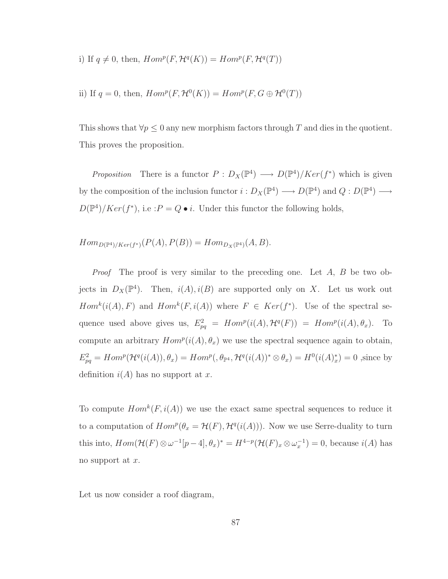i) If  $q \neq 0$ , then,  $Hom^p(F, \mathcal{H}^q(K)) = Hom^p(F, \mathcal{H}^q(T))$ 

ii) If 
$$
q = 0
$$
, then,  $Hom^p(F, \mathcal{H}^0(K)) = Hom^p(F, G \oplus \mathcal{H}^0(T))$ 

This shows that  $\forall p \leq 0$  any new morphism factors through T and dies in the quotient. This proves the proposition.

Proposition There is a functor  $P: D_X(\mathbb{P}^4) \longrightarrow D(\mathbb{P}^4)/Ker(f^*)$  which is given by the composition of the inclusion functor  $i: D_X(\mathbb{P}^4) \longrightarrow D(\mathbb{P}^4)$  and  $Q: D(\mathbb{P}^4) \longrightarrow$  $D(\mathbb{P}^4)/Ker(f^*)$ , i.e :  $P = Q \bullet i$ . Under this functor the following holds,

 $Hom_{D(\mathbb{P}^4)/Ker(f^*)}(P(A), P(B)) = Hom_{D_X(\mathbb{P}^4)}(A, B).$ 

*Proof* The proof is very similar to the preceding one. Let  $A$ ,  $B$  be two objects in  $D_X(\mathbb{P}^4)$ . Then,  $i(A), i(B)$  are supported only on X. Let us work out  $Hom<sup>k</sup>(i(A), F)$  and  $Hom<sup>k</sup>(F, i(A))$  where  $F \in Ker(f^*)$ . Use of the spectral sequence used above gives us,  $E_{pq}^2 = Hom^p(i(A), \mathcal{H}^q(F)) = Hom^p(i(A), \theta_x)$ . To compute an arbitrary  $Hom<sup>p</sup>(i(A), \theta_x)$  we use the spectral sequence again to obtain,  $E_{pq}^2 = Hom^p(\mathcal{H}^q(i(A)), \theta_x) = Hom^p(\theta_{\mathbb{P}^4}, \mathcal{H}^q(i(A))^* \otimes \theta_x) = H^0(i(A)_x^*) = 0$ , since by definition  $i(A)$  has no support at x.

To compute  $Hom^k(F, i(A))$  we use the exact same spectral sequences to reduce it to a computation of  $Hom^p(\theta_x = \mathcal{H}(F), \mathcal{H}^q(i(A)))$ . Now we use Serre-duality to turn this into,  $Hom(\mathcal{H}(F) \otimes \omega^{-1}[p-4], \theta_x)^* = H^{4-p}(\mathcal{H}(F)_x \otimes \omega_x^{-1}) = 0$ , because  $i(A)$  has no support at  $x$ .

Let us now consider a roof diagram,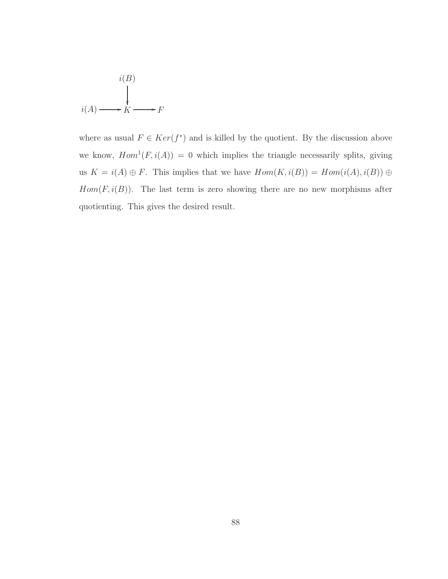$$
i(B)
$$
  
\n
$$
i(A) \longrightarrow K \longrightarrow F
$$

where as usual  $F \in Ker(f^*)$  and is killed by the quotient. By the discussion above we know,  $Hom<sup>1</sup>(F, i(A)) = 0$  which implies the triangle necessarily splits, giving us  $K = i(A) \oplus F$ . This implies that we have  $Hom(K, i(B)) = Hom(i(A), i(B)) \oplus$  $Hom(F, i(B))$ . The last term is zero showing there are no new morphisms after quotienting. This gives the desired result.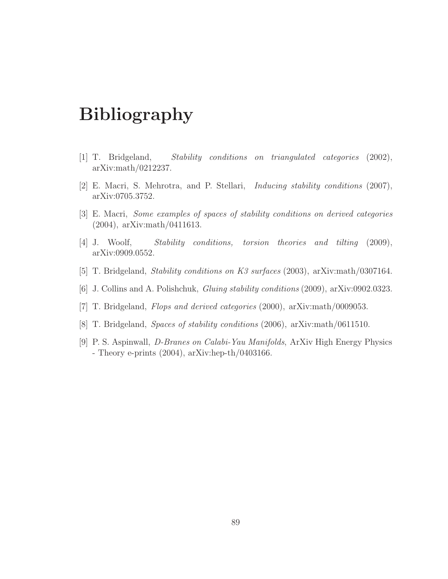## Bibliography

- [1] T. Bridgeland, Stability conditions on triangulated categories (2002), arXiv:math/0212237.
- [2] E. Macri, S. Mehrotra, and P. Stellari, Inducing stability conditions (2007), arXiv:0705.3752.
- [3] E. Macri, Some examples of spaces of stability conditions on derived categories (2004), arXiv:math/0411613.
- [4] J. Woolf, Stability conditions, torsion theories and tilting (2009), arXiv:0909.0552.
- [5] T. Bridgeland, Stability conditions on K3 surfaces (2003), arXiv:math/0307164.
- [6] J. Collins and A. Polishchuk, Gluing stability conditions (2009), arXiv:0902.0323.
- <span id="page-97-0"></span>[7] T. Bridgeland, Flops and derived categories (2000), arXiv:math/0009053.
- [8] T. Bridgeland, Spaces of stability conditions (2006), arXiv:math/0611510.
- [9] P. S. Aspinwall, D-Branes on Calabi-Yau Manifolds, ArXiv High Energy Physics - Theory e-prints (2004), arXiv:hep-th/0403166.